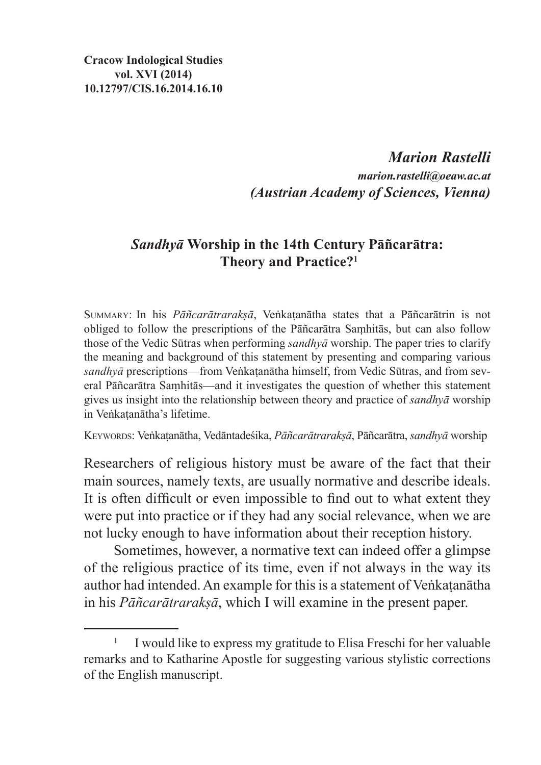*Marion Rastelli marion.rastelli@oeaw.ac.at (Austrian Academy of Sciences, Vienna)*

# *Sandhyā* **Worship in the 14th Century Pāñcarātra: Theory and Practice?<sup>1</sup>**

Summary: In his *Pāñcarātrarakṣā*, Veṅkaṭanātha states that a Pāñcarātrin is not obliged to follow the prescriptions of the Pāñcarātra Saṃhitās, but can also follow those of the Vedic Sūtras when performing *sandhyā* worship. The paper tries to clarify the meaning and background of this statement by presenting and comparing various *sandhyā* prescriptions—from Veṅkaṭanātha himself, from Vedic Sūtras, and from several Pāñcarātra Saṃhitās—and it investigates the question of whether this statement gives us insight into the relationship between theory and practice of *sandhyā* worship in Veṅkaṭanātha's lifetime.

Keywords: Veṅkaṭanātha, Vedāntadeśika, *Pāñcarātrarakṣā*, Pāñcarātra, *sandhyā* worship

Researchers of religious history must be aware of the fact that their main sources, namely texts, are usually normative and describe ideals. It is often difficult or even impossible to find out to what extent they were put into practice or if they had any social relevance, when we are not lucky enough to have information about their reception history.

Sometimes, however, a normative text can indeed offer a glimpse of the religious practice of its time, even if not always in the way its author had intended. An example for this is a statement of Veṅkaṭanātha in his *Pāñcarātrarakṣā*, which I will examine in the present paper.

<sup>&</sup>lt;sup>1</sup> I would like to express my gratitude to Elisa Freschi for her valuable remarks and to Katharine Apostle for suggesting various stylistic corrections of the English manuscript.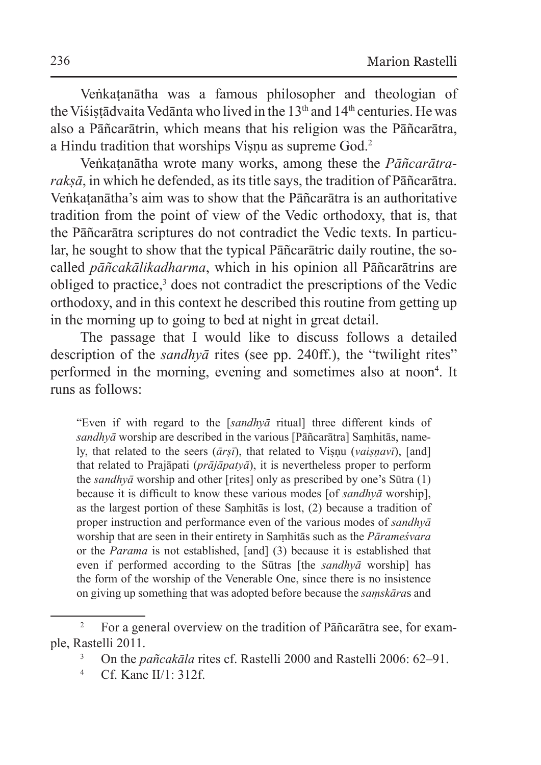Veṅkaṭanātha was a famous philosopher and theologian of the Visistādvaita Vedānta who lived in the  $13<sup>th</sup>$  and  $14<sup>th</sup>$  centuries. He was also a Pāñcarātrin, which means that his religion was the Pāñcarātra, a Hindu tradition that worships Visnu as supreme God.<sup>2</sup>

Veṅkaṭanātha wrote many works, among these the *Pāñcarātrarakṣā*, in which he defended, asits title says, the tradition of Pāñcarātra. Veṅkaṭanātha's aim was to show that the Pāñcarātra is an authoritative tradition from the point of view of the Vedic orthodoxy, that is, that the Pāñcarātra scriptures do not contradict the Vedic texts. In particular, he sought to show that the typical Pāñcarātric daily routine, the socalled *pāñcakālikadharma*, which in his opinion all Pāñcarātrins are obliged to practice,<sup>3</sup> does not contradict the prescriptions of the Vedic orthodoxy, and in this context he described this routine from getting up in the morning up to going to bed at night in great detail.

The passage that I would like to discuss follows a detailed description of the *sandhyā* rites (see pp. 240ff.), the "twilight rites" performed in the morning, evening and sometimes also at noon<sup>4</sup>. It runs as follows:

"Even if with regard to the [*sandhyā* ritual] three different kinds of *sandhyā* worship are described in the various [Pāñcarātra] Saṃhitās, namely, that related to the seers (*ārṣī*), that related to Viṣṇu (*vaiṣṇavī*), [and] that related to Prajāpati (*prājāpatyā*), it is nevertheless proper to perform the *sandhyā* worship and other [rites] only as prescribed by one's Sūtra (1) because it is difficult to know these various modes [of *sandhyā* worship], as the largest portion of these Saṃhitās is lost, (2) because a tradition of proper instruction and performance even of the various modes of *sandhyā* worship that are seen in their entirety in Saṃhitās such as the *Pārameśvara*  or the *Parama* is not established, [and] (3) because it is established that even if performed according to the Sūtras [the *sandhyā* worship] has the form of the worship of the Venerable One, since there is no insistence on giving up something that was adopted before because the *saṃskāra*s and

<sup>&</sup>lt;sup>2</sup> For a general overview on the tradition of Pāñcarātra see, for example, Rastelli 2011.

<sup>3</sup> On the *pañcakāla* rites cf. Rastelli 2000 and Rastelli 2006: 62–91.

 $4$  Cf. Kane II/1: 312f.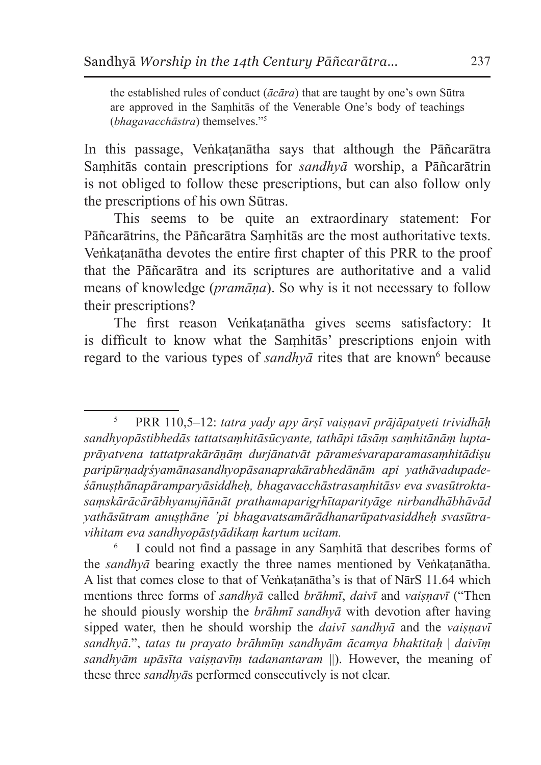the established rules of conduct (*ācāra*) that are taught by one's own Sūtra are approved in the Saṃhitās of the Venerable One's body of teachings (*bhagavacchāstra*) themselves."5

In this passage, Veṅkaṭanātha says that although the Pāñcarātra Saṃhitās contain prescriptions for *sandhyā* worship, a Pāñcarātrin is not obliged to follow these prescriptions, but can also follow only the prescriptions of his own Sūtras.

This seems to be quite an extraordinary statement: For Pāñcarātrins, the Pāñcarātra Saṃhitās are the most authoritative texts. Veṅkaṭanātha devotes the entire first chapter of this PRR to the proof that the Pāñcarātra and its scriptures are authoritative and a valid means of knowledge (*pramāṇa*). So why is it not necessary to follow their prescriptions?

The first reason Veṅkatanātha gives seems satisfactory: It is difficult to know what the Saṃhitās' prescriptions enjoin with regard to the various types of *sandhyā* rites that are known<sup>6</sup> because

<sup>5</sup> PRR 110,5–12: *tatra yady apy ārṣī vaiṣṇavī prājāpatyeti trividhāḥ sandhyopāstibhedās tattatsaṃhitāsūcyante, tathāpi tāsāṃ saṃhitānāṃ luptaprāyatvena tattatprakārāṇāṃ durjānatvāt pārameśvaraparamasaṃhitādiṣu paripūrṇadr̥śyamānasandhyopāsanaprakārabhedānām api yathāvadupadeśānuṣṭhānapāramparyāsiddheḥ, bhagavacchāstrasaṃhitāsv eva svasūtroktasaṃskārācārābhyanujñānāt prathamaparigr̥hītaparityāge nirbandhābhāvād yathāsūtram anuṣṭhāne 'pi bhagavatsamārādhanarūpatvasiddheḥ svasūtravihitam eva sandhyopāstyādikaṃ kartum ucitam.*

I could not find a passage in any Samhita that describes forms of the *sandhyā* bearing exactly the three names mentioned by Veṅkaṭanātha. A list that comes close to that of Veṅkaṭanātha's is that of NārS 11.64 which mentions three forms of *sandhyā* called *brāhmī*, *daivī* and *vaiṣṇavī* ("Then he should piously worship the *brāhmī sandhyā* with devotion after having sipped water, then he should worship the *daivī sandhyā* and the *vaiṣṇavī sandhyā*.", *tatas tu prayato brāhmīṃ sandhyām ācamya bhaktitaḥ* | *daivīṃ sandhyām upāsīta vaiṣṇavīṃ tadanantaram* ||). However, the meaning of these three *sandhyā*s performed consecutively is not clear.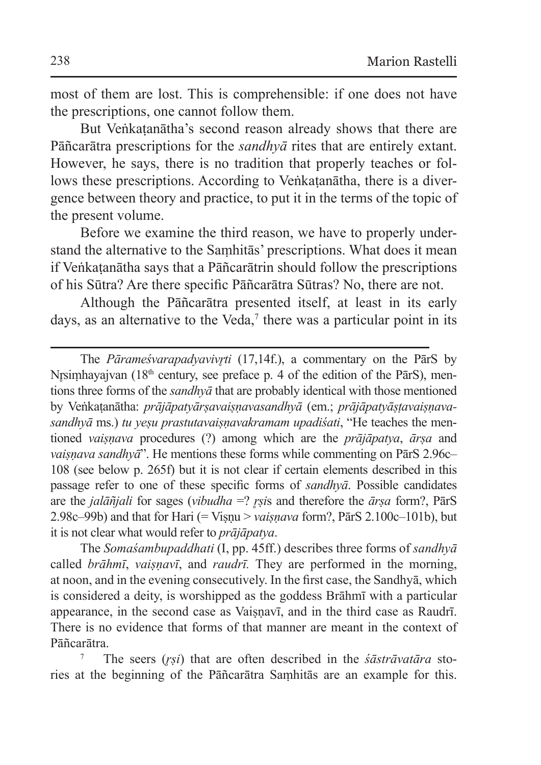most of them are lost. This is comprehensible: if one does not have the prescriptions, one cannot follow them.

But Veṅkaṭanātha's second reason already shows that there are Pāñcarātra prescriptions for the *sandhyā* rites that are entirely extant. However, he says, there is no tradition that properly teaches or follows these prescriptions. According to Veṅkatanātha, there is a divergence between theory and practice, to put it in the terms of the topic of the present volume.

Before we examine the third reason, we have to properly understand the alternative to the Saṃhitās' prescriptions. What does it mean if Veṅkaṭanātha says that a Pāñcarātrin should follow the prescriptions of his Sūtra? Are there specific Pāñcarātra Sūtras? No, there are not.

Although the Pāñcarātra presented itself, at least in its early days, as an alternative to the Veda, $\tau$  there was a particular point in its

The *Pārameśvarapadyavivr̥ti* (17,14f.), a commentary on the PārS by Nrsimhavajvan (18<sup>th</sup> century, see preface p. 4 of the edition of the PārS), mentions three forms of the *sandhyā* that are probably identical with those mentioned by Veṅkaṭanātha: *prājāpatyārṣavaiṣṇavasandhyā* (em.; *prājāpatyāṣṭavaiṣṇavasandhyā* ms.) *tu yeṣu prastutavaiṣṇavakramam upadiśati*, "He teaches the mentioned *vaiṣṇava* procedures (?) among which are the *prājāpatya*, *ārṣa* and *vaiṣṇava sandhyā*". He mentions these forms while commenting on PārS 2.96c– 108 (see below p. 265f) but it is not clear if certain elements described in this passage refer to one of these specific forms of *sandhyā*. Possible candidates are the *jalāñjali* for sages (*vibudha* =? *r̥ṣi*s and therefore the *ārṣa* form?, PārS 2.98c–99b) and that for Hari (= Viṣṇu > *vaiṣṇava* form?, PārS 2.100c–101b), but it is not clear what would refer to *prājāpatya*.

The *Somaśambupaddhati* (I, pp. 45ff.) describes three forms of *sandhyā* called *brāhmī*, *vaiṣṇavī*, and *raudrī.* They are performed in the morning, at noon, and in the evening consecutively. In the first case, the Sandhyā, which is considered a deity, is worshipped as the goddess Brāhmī with a particular appearance, in the second case as Vaisnavī, and in the third case as Raudrī. There is no evidence that forms of that manner are meant in the context of Pāñcarātra.

<sup>7</sup> The seers (*r̥ṣi*) that are often described in the *śāstrāvatāra* stories at the beginning of the Pāñcarātra Saṃhitās are an example for this.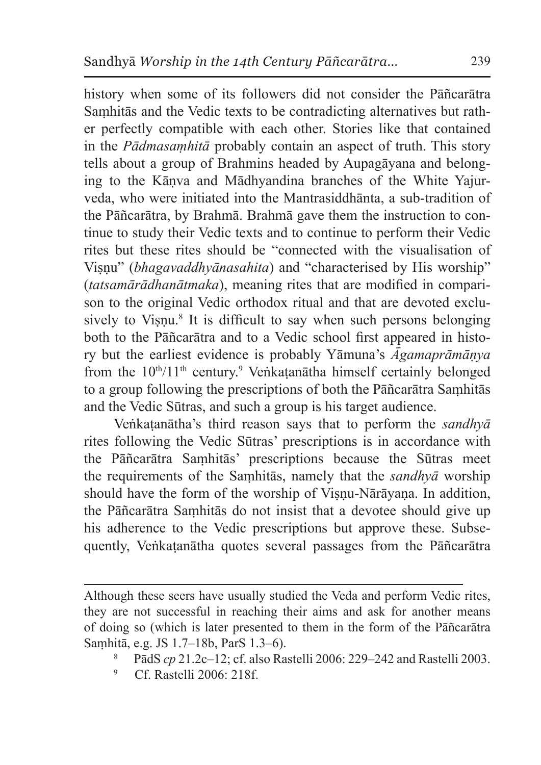history when some of its followers did not consider the Pāñcarātra Saṃhitās and the Vedic texts to be contradicting alternatives but rather perfectly compatible with each other. Stories like that contained in the *Pādmasaṃhitā* probably contain an aspect of truth. This story tells about a group of Brahmins headed by Aupagāyana and belonging to the Kāṇva and Mādhyandina branches of the White Yajurveda, who were initiated into the Mantrasiddhānta, a sub-tradition of the Pāñcarātra, by Brahmā. Brahmā gave them the instruction to continue to study their Vedic texts and to continue to perform their Vedic rites but these rites should be "connected with the visualisation of Visnu" (*bhagavaddhyānasahita*) and "characterised by His worship" (*tatsamārādhanātmaka*), meaning rites that are modified in comparison to the original Vedic orthodox ritual and that are devoted exclusively to Viṣṇu.<sup>8</sup> It is difficult to say when such persons belonging both to the Pāñcarātra and to a Vedic school first appeared in history but the earliest evidence is probably Yāmuna's *Āgamaprāmāṇya*  from the  $10<sup>th</sup>/11<sup>th</sup>$  century.<sup>9</sup> Veṅkaṭanātha himself certainly belonged to a group following the prescriptions of both the Pāñcarātra Saṃhitās and the Vedic Sūtras, and such a group is his target audience.

Veṅkaṭanātha's third reason says that to perform the *sandhyā* rites following the Vedic Sūtras' prescriptions is in accordance with the Pāñcarātra Saṃhitās' prescriptions because the Sūtras meet the requirements of the Saṃhitās, namely that the *sandhyā* worship should have the form of the worship of Viṣṇu-Nārāyaṇa. In addition, the Pāñcarātra Saṃhitās do not insist that a devotee should give up his adherence to the Vedic prescriptions but approve these. Subsequently, Veṅkaṭanātha quotes several passages from the Pāñcarātra

Although these seers have usually studied the Veda and perform Vedic rites, they are not successful in reaching their aims and ask for another means of doing so (which is later presented to them in the form of the Pāñcarātra Saṃhitā, e.g. JS 1.7–18b, ParS 1.3–6).

<sup>8</sup> PādS *cp* 21.2c–12; cf. also Rastelli 2006: 229–242 and Rastelli 2003.

<sup>9</sup> Cf. Rastelli 2006: 218f.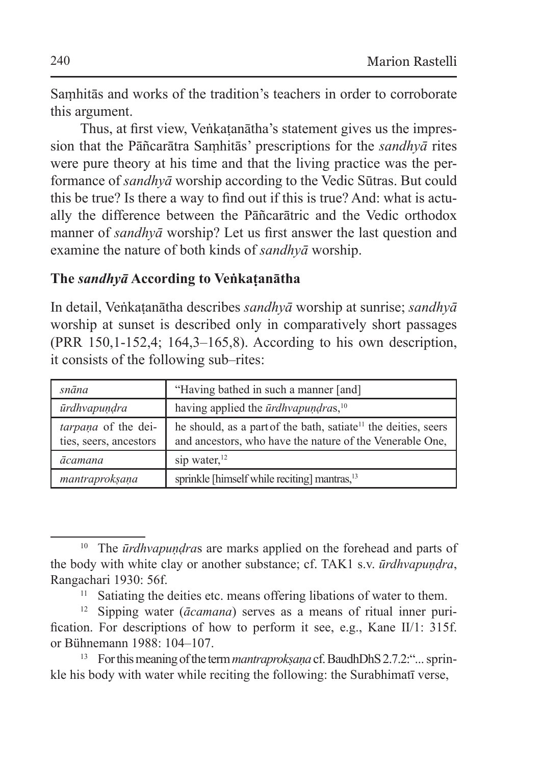Saṃhitās and works of the tradition's teachers in order to corroborate this argument.

Thus, at first view, Veṅkaṭanātha's statement gives us the impression that the Pāñcarātra Saṃhitās' prescriptions for the *sandhyā* rites were pure theory at his time and that the living practice was the performance of *sandhyā* worship according to the Vedic Sūtras. But could this be true? Is there a way to find out if this is true? And: what is actually the difference between the Pāñcarātric and the Vedic orthodox manner of *sandhyā* worship? Let us first answer the last question and examine the nature of both kinds of *sandhyā* worship.

### **The** *sandhyā* **According to Veṅkaṭanātha**

In detail, Veṅkaṭanātha describes *sandhyā* worship at sunrise; *sandhyā*  worship at sunset is described only in comparatively short passages (PRR 150,1-152,4; 164,3–165,8). According to his own description, it consists of the following sub–rites:

| snāna                                         | "Having bathed in such a manner [and]                                                                                                  |  |
|-----------------------------------------------|----------------------------------------------------------------------------------------------------------------------------------------|--|
| ūrdhvapundra                                  | having applied the $\bar{u}$ rdhvapundras, $^{10}$                                                                                     |  |
| tarpaņa of the dei-<br>ties, seers, ancestors | he should, as a part of the bath, satiate <sup>11</sup> the deities, seers<br>and ancestors, who have the nature of the Venerable One, |  |
| ācamana                                       | sip water, $12$                                                                                                                        |  |
| mantraprokṣaṇa                                | sprinkle [himself while reciting] mantras, <sup>13</sup>                                                                               |  |

<sup>&</sup>lt;sup>10</sup> The *ūrdhvapundras* are marks applied on the forehead and parts of the body with white clay or another substance; cf. TAK1 s.v. *ūrdhvapuṇḍra*, Rangachari 1930: 56f.

<sup>&</sup>lt;sup>11</sup> Satiating the deities etc. means offering libations of water to them.

<sup>12</sup> Sipping water (*ācamana*) serves as a means of ritual inner purification. For descriptions of how to perform it see, e.g., Kane II/1: 315f. or Bühnemann 1988: 104–107.

<sup>13</sup> For this meaning of the term *mantraprokṣaṇa* cf. BaudhDhS2.7.2:"... sprinkle his body with water while reciting the following: the Surabhimatī verse,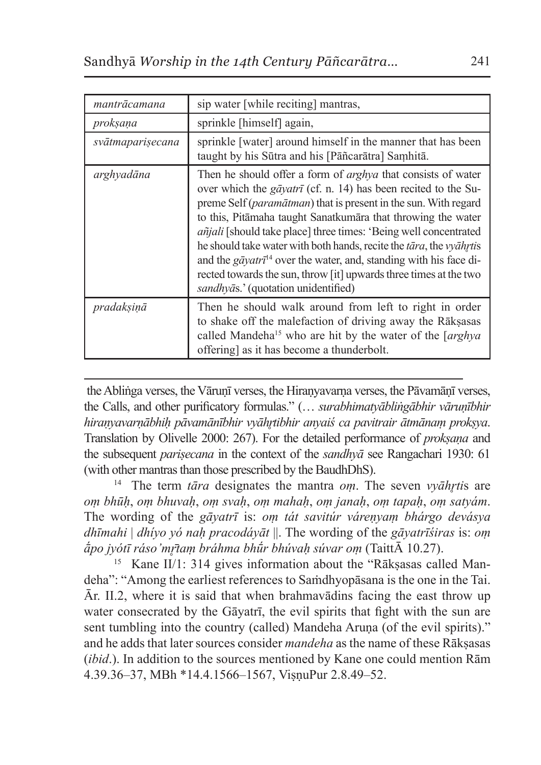| mantrācamana     | sip water [while reciting] mantras,                                                                                                                                                                                                                                                                                                                                                                                                                                                                                                                                                                                                                            |  |
|------------------|----------------------------------------------------------------------------------------------------------------------------------------------------------------------------------------------------------------------------------------------------------------------------------------------------------------------------------------------------------------------------------------------------------------------------------------------------------------------------------------------------------------------------------------------------------------------------------------------------------------------------------------------------------------|--|
| proksana         | sprinkle [himself] again,                                                                                                                                                                                                                                                                                                                                                                                                                                                                                                                                                                                                                                      |  |
| svātmaparisecana | sprinkle [water] around himself in the manner that has been<br>taught by his Sūtra and his [Pāñcarātra] Samhitā.                                                                                                                                                                                                                                                                                                                                                                                                                                                                                                                                               |  |
| arghyadāna       | Then he should offer a form of <i>arghya</i> that consists of water<br>over which the <i>gavatri</i> (cf. n. 14) has been recited to the Su-<br>preme Self ( <i>paramātman</i> ) that is present in the sun. With regard<br>to this, Pitamaha taught Sanatkumara that throwing the water<br><i>añjali</i> [should take place] three times: 'Being well concentrated<br>he should take water with both hands, recite the <i>tāra</i> , the <i>vyāhrtis</i><br>and the $g\bar{q}yatr\bar{\tau}^{14}$ over the water, and, standing with his face di-<br>rected towards the sun, throw [it] upwards three times at the two<br>sandhyās.' (quotation unidentified) |  |
| pradaksinā       | Then he should walk around from left to right in order<br>to shake off the malefaction of driving away the Raksasas<br>called Mandeha <sup>15</sup> who are hit by the water of the [arghya]<br>offering] as it has become a thunderbolt.                                                                                                                                                                                                                                                                                                                                                                                                                      |  |

the Ablinga verses, the Vārunī verses, the Hiranyavarna verses, the Pāvamānī verses, the Calls, and other purificatory formulas." (… *surabhimatyābliṅgābhir vāruṇībhir hiraṇyavarṇābhiḥ pāvamānībhir vyāhr̥tibhir anyaiś ca pavitrair ātmānaṃ prokṣya*. Translation by Olivelle 2000: 267). For the detailed performance of *prokṣaṇa* and the subsequent *pariṣecana* in the context of the *sandhyā* see Rangachari 1930: 61 (with other mantras than those prescribed by the BaudhDhS).

<sup>14</sup> The term *tāra* designates the mantra *oṃ*. The seven *vyāhr̥ti*s are *oṃ bhūḥ*, *oṃ bhuvaḥ*, *oṃ svaḥ*, *oṃ mahaḥ*, *oṃ janaḥ*, *oṃ tapaḥ*, *oṃ satyám*. The wording of the *gāyatrī* is: *oṃ tát savitúr váreṇyaṃ bhárgo devásya dhīmahi* | *dhíyo yó naḥ pracodáyāt* ||. The wording of the *gāyatrīśiras* is: *oṃ ā́po jyótī ráso'mr̥̄taṃ bráhma bhū́r bhúvaḥ súvar oṃ* (TaittĀ 10.27).

<sup>15</sup> Kane II/1: 314 gives information about the "Rāksasas called Mandeha": "Among the earliest references to Saṁdhyopāsana is the one in the Tai. Ār. II.2, where it is said that when brahmavādins facing the east throw up water consecrated by the Gāyatrī, the evil spirits that fight with the sun are sent tumbling into the country (called) Mandeha Aruṇa (of the evil spirits)." and he adds that later sources consider *mandeha* as the name of these Rākṣasas (*ibid*.). In addition to the sources mentioned by Kane one could mention Rām 4.39.36–37, MBh \*14.4.1566–1567, ViṣṇuPur 2.8.49–52.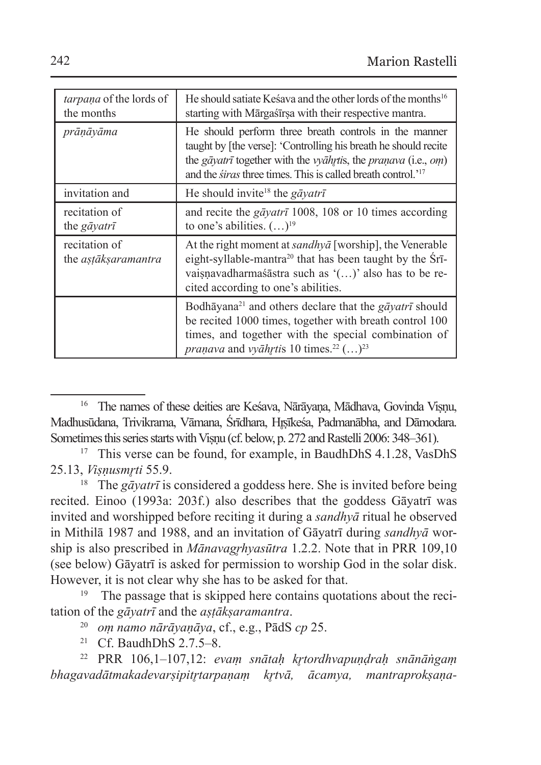| <i>tarpana</i> of the lords of<br>the months | He should satiate Kesaya and the other lords of the months <sup>16</sup><br>starting with Mārgaśīrsa with their respective mantra.                                                                                                                                            |  |
|----------------------------------------------|-------------------------------------------------------------------------------------------------------------------------------------------------------------------------------------------------------------------------------------------------------------------------------|--|
| prāṇāyāma                                    | He should perform three breath controls in the manner<br>taught by [the verse]: 'Controlling his breath he should recite<br>the gāyatrī together with the vyāhrtis, the praņava (i.e., om)<br>and the <i>siras</i> three times. This is called breath control. <sup>217</sup> |  |
| invitation and                               | He should invite <sup>18</sup> the gayatri                                                                                                                                                                                                                                    |  |
| recitation of<br>the <i>gāyatrī</i>          | and recite the <i>gāyatrī</i> 1008, 108 or 10 times according<br>to one's abilities. $(\ldots)^{19}$                                                                                                                                                                          |  |
| recitation of<br>the <i>astāksaramantra</i>  | At the right moment at <i>sandhya</i> [worship], the Venerable<br>eight-syllable-mantra <sup>20</sup> that has been taught by the Sri-<br>vaisņavadharmasāstra such as '()' also has to be re-<br>cited according to one's abilities.                                         |  |
|                                              | Bodhāyana <sup>21</sup> and others declare that the <i>gāyatrī</i> should<br>be recited 1000 times, together with breath control 100<br>times, and together with the special combination of<br><i>pranava</i> and <i>vyāhrtis</i> 10 times. <sup>22</sup> $(\ldots)^{23}$     |  |

<sup>&</sup>lt;sup>16</sup> The names of these deities are Kesava, Nārāyana, Mādhava, Govinda Visnu, Madhusūdana, Trivikrama, Vāmana, Śrīdhara, Hrsīkeśa, Padmanābha, and Dāmodara. Sometimes this series starts with Visnu (cf. below, p. 272 and Rastelli 2006: 348–361).

<sup>&</sup>lt;sup>17</sup> This verse can be found, for example, in BaudhDhS 4.1.28, VasDhS 25.13, *Viṣṇusmr̥ti* 55.9. 18 The *gāyatrī* is considered a goddess here. She is invited before being

recited. Einoo (1993a: 203f.) also describes that the goddess Gāyatrī was invited and worshipped before reciting it during a *sandhyā* ritual he observed in Mithilā 1987 and 1988, and an invitation of Gāyatrī during *sandhyā* worship is also prescribed in *Mānavagrhyasūtra* 1.2.2. Note that in PRR 109,10 (see below) Gāyatrī is asked for permission to worship God in the solar disk. However, it is not clear why she has to be asked for that.

<sup>&</sup>lt;sup>19</sup> The passage that is skipped here contains quotations about the recitation of the *gāyatrī* and the *aṣṭākṣaramantra*.

<sup>20</sup> *oṃ namo nārāyaṇāya*, cf., e.g., PādS *cp* 25.

<sup>21</sup> Cf. BaudhDhS 2.7.5–8.

<sup>22</sup> PRR 106,1–107,12: *evaṃ snātaḥ kr̥tordhvapuṇḍraḥ snānāṅgaṃ bhagavadātmakadevarṣipitr̥tarpaṇaṃ kr̥tvā, ācamya, mantraprokṣaṇa*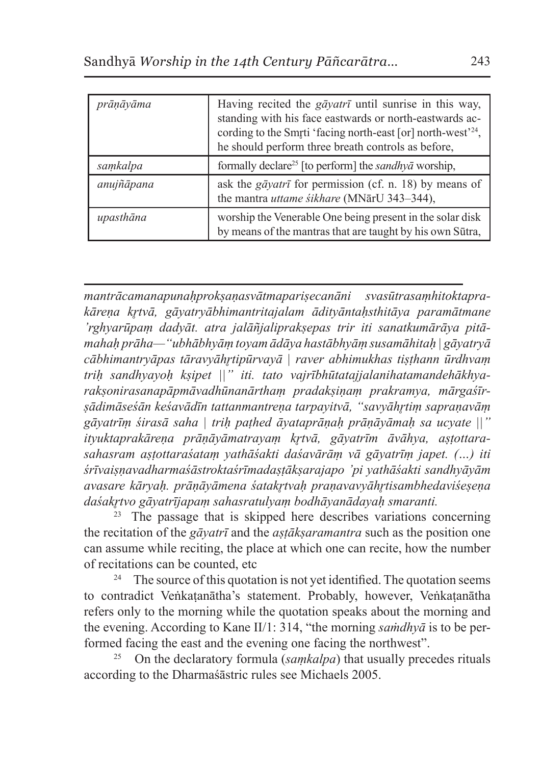| prānāyāma  | Having recited the <i>gayatri</i> until sunrise in this way,<br>standing with his face eastwards or north-eastwards ac-<br>cording to the Smrti 'facing north-east [or] north-west'24,<br>he should perform three breath controls as before, |
|------------|----------------------------------------------------------------------------------------------------------------------------------------------------------------------------------------------------------------------------------------------|
| samkalpa   | formally declare <sup>25</sup> [to perform] the <i>sandhya</i> worship,                                                                                                                                                                      |
| anujñāpana | ask the gāyatrī for permission (cf. n. 18) by means of<br>the mantra uttame śikhare (MNārU 343-344),                                                                                                                                         |
| upasthāna  | worship the Venerable One being present in the solar disk<br>by means of the mantras that are taught by his own Sūtra,                                                                                                                       |

*mantrācamanapunaḥprokṣaṇasvātmapariṣecanāni svasūtrasaṃhitoktaprakāreṇa kr̥tvā, gāyatryābhimantritajalam ādityāntaḥsthitāya paramātmane 'rghyarūpaṃ dadyāt. atra jalāñjaliprakṣepas trir iti sanatkumārāya pitāmahaḥ prāha—"ubhābhyāṃ toyam ādāya hastābhyāṃ susamāhitaḥ | gāyatryā cābhimantryāpas tāravyāhr̥tipūrvayā | raver abhimukhas tiṣṭhann ūrdhvaṃ triḥ sandhyayoḥ kṣipet ||" iti. tato vajrībhūtatajjalanihatamandehākhyarakṣonirasanapāpmāvadhūnanārthaṃ pradakṣiṇaṃ prakramya, mārgaśīrṣādimāseśān keśavādīn tattanmantreṇa tarpayitvā, "savyāhr̥tiṃ sapraṇavāṃ gāyatrīṃ śirasā saha | triḥ paṭhed āyataprāṇaḥ prāṇāyāmaḥ sa ucyate ||" ityuktaprakāreṇa prāṇāyāmatrayaṃ kr̥tvā, gāyatrīm āvāhya, aṣṭottarasahasram aṣṭottaraśataṃ yathāśakti daśavārāṃ vā gāyatrīṃ japet. (…) iti śrīvaiṣṇavadharmaśāstroktaśrīmadaṣṭākṣarajapo 'pi yathāśakti sandhyāyām avasare kāryaḥ. prāṇāyāmena śatakr̥tvaḥ praṇavavyāhr̥tisambhedaviśeṣeṇa daśakr̥tvo gāyatrījapaṃ sahasratulyaṃ bodhāyanādayaḥ smaranti.*

<sup>23</sup> The passage that is skipped here describes variations concerning the recitation of the *gāyatrī* and the *aṣṭākṣaramantra* such as the position one can assume while reciting, the place at which one can recite, how the number of recitations can be counted, etc

<sup>24</sup> The source of this quotation is not yet identified. The quotation seems to contradict Veṅkaṭanātha's statement. Probably, however, Veṅkaṭanātha refers only to the morning while the quotation speaks about the morning and the evening. According to Kane II/1: 314, "the morning *saṁdhyā* is to be performed facing the east and the evening one facing the northwest".

25 On the declaratory formula (*saṃkalpa*) that usually precedes rituals according to the Dharmaśāstric rules see Michaels 2005.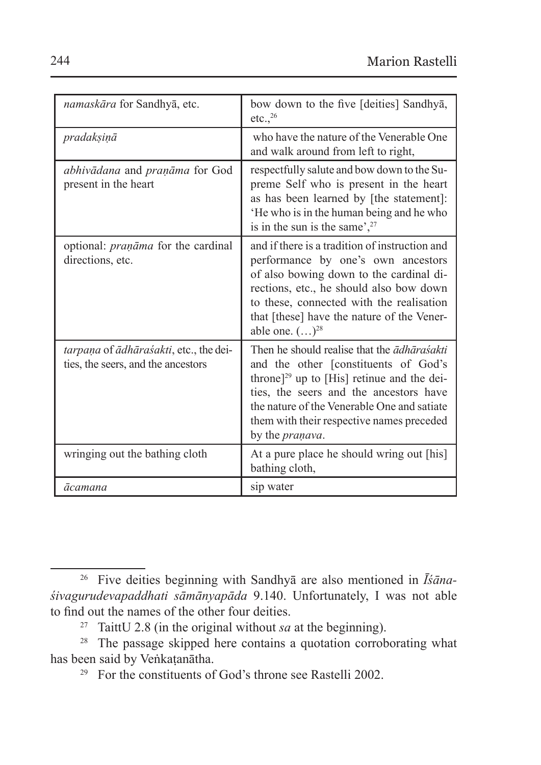| namaskāra for Sandhyā, etc.                                                  | bow down to the five [deities] Sandhya,<br>etc., <sup>26</sup>                                                                                                                                                                                                                                         |
|------------------------------------------------------------------------------|--------------------------------------------------------------------------------------------------------------------------------------------------------------------------------------------------------------------------------------------------------------------------------------------------------|
| pradaksinā                                                                   | who have the nature of the Venerable One<br>and walk around from left to right.                                                                                                                                                                                                                        |
| abhivādana and praņāma for God<br>present in the heart                       | respectfully salute and bow down to the Su-<br>preme Self who is present in the heart<br>as has been learned by [the statement]:<br>He who is in the human being and he who<br>is in the sun is the same', $27$                                                                                        |
| optional: <i>pranāma</i> for the cardinal<br>directions, etc.                | and if there is a tradition of instruction and<br>performance by one's own ancestors<br>of also bowing down to the cardinal di-<br>rections, etc., he should also bow down<br>to these, connected with the realisation<br>that [these] have the nature of the Vener-<br>able one. $(\ldots)^{28}$      |
| tarpaņa of ādhāraśakti, etc., the dei-<br>ties, the seers, and the ancestors | Then he should realise that the adharasakti<br>and the other [constituents of God's<br>throne] <sup>29</sup> up to [His] retinue and the dei-<br>ties, the seers and the ancestors have<br>the nature of the Venerable One and satiate<br>them with their respective names preceded<br>by the praņava. |
| wringing out the bathing cloth                                               | At a pure place he should wring out [his]<br>bathing cloth,                                                                                                                                                                                                                                            |
| ācamana                                                                      | sip water                                                                                                                                                                                                                                                                                              |

<sup>26</sup> Five deities beginning with Sandhyā are also mentioned in *Īśānaśivagurudevapaddhati sāmānyapāda* 9.140. Unfortunately, I was not able to find out the names of the other four deities.

<sup>27</sup> TaittU 2.8 (in the original without *sa* at the beginning).

<sup>28</sup> The passage skipped here contains a quotation corroborating what has been said by Veṅkaṭanātha.

<sup>29</sup> For the constituents of God's throne see Rastelli 2002.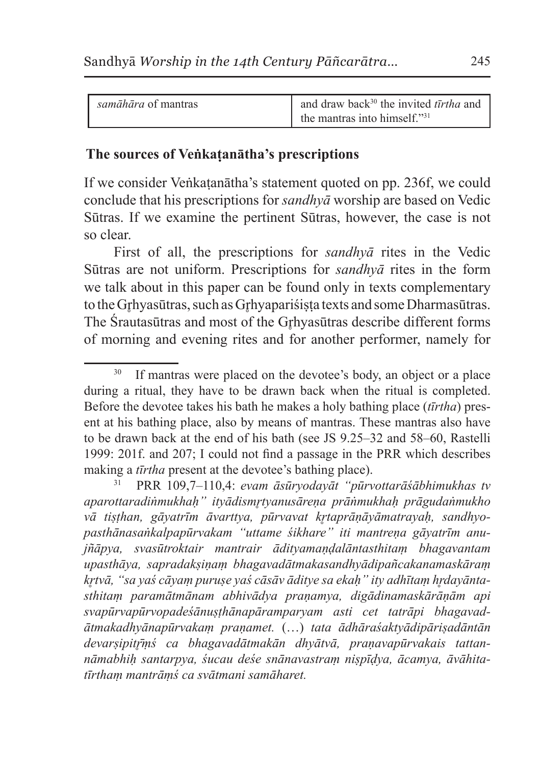| <i>samāhāra</i> of mantras | and draw back <sup>30</sup> the invited tīrtha and |
|----------------------------|----------------------------------------------------|
|                            | the mantras into himself."31                       |

### **The sources of Veṅkaṭanātha's prescriptions**

If we consider Veṅkaṭanātha's statement quoted on pp. 236f, we could conclude that his prescriptions for *sandhyā* worship are based on Vedic Sūtras. If we examine the pertinent Sūtras, however, the case is not so clear.

First of all, the prescriptions for *sandhyā* rites in the Vedic Sūtras are not uniform. Prescriptions for *sandhyā* rites in the form we talk about in this paper can be found only in texts complementary to the Grhyasūtras, such as Grhyapariśista texts and some Dharmasūtras. The Srautasūtras and most of the Grhyasūtras describe different forms of morning and evening rites and for another performer, namely for

<sup>&</sup>lt;sup>30</sup> If mantras were placed on the devotee's body, an object or a place during a ritual, they have to be drawn back when the ritual is completed. Before the devotee takes his bath he makes a holy bathing place (*tīrtha*) present at his bathing place, also by means of mantras. These mantras also have to be drawn back at the end of his bath (see JS 9.25–32 and 58–60, Rastelli 1999: 201f. and 207; I could not find a passage in the PRR which describes making a *tīrtha* present at the devotee's bathing place).

<sup>31</sup> PRR 109,7–110,4: *evam āsūryodayāt "pūrvottarāśābhimukhas tv aparottaradiṅmukhaḥ" ityādismr̥tyanusāreṇa prāṅmukhaḥ prāgudaṅmukho vā tiṣṭhan, gāyatrīm āvarttya, pūrvavat kr̥taprāṇāyāmatrayaḥ, sandhyo*pasthānasaṅkalpapūrvakam "uttame śikhare" iti mantrena gāyatrīm anu*jñāpya, svasūtroktair mantrair ādityamaṇḍalāntasthitaṃ bhagavantam upasthāya, sapradakṣiṇaṃ bhagavadātmakasandhyādipañcakanamaskāraṃ kr̥tvā, "sa yaś cāyaṃ puruṣe yaś cāsāv āditye sa ekaḥ" ity adhītaṃ hr̥dayāntasthitaṃ paramātmānam abhivādya praṇamya, digādinamaskārāṇām api svapūrvapūrvopadeśānuṣṭhānapāramparyam asti cet tatrāpi bhagavadātmakadhyānapūrvakaṃ praṇamet.* (…) *tata ādhāraśaktyādipāriṣadāntān devarṣipitr̥̄ṃś ca bhagavadātmakān dhyātvā, praṇavapūrvakais tattannāmabhiḥ santarpya, śucau deśe snānavastraṃ niṣpīḍya, ācamya, āvāhitatīrthaṃ mantrāṃś ca svātmani samāharet.*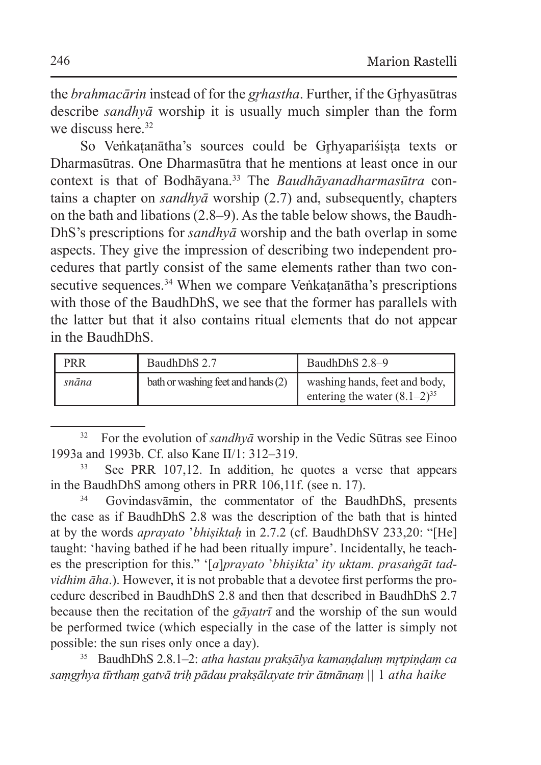the *brahmacārin* instead of for the *grhastha*. Further, if the Grhyasūtras describe *sandhyā* worship it is usually much simpler than the form we discuss here  $32$ 

So Veṅkaṭanātha's sources could be Gr̥hyapariśiṣṭa texts or Dharmasūtras. One Dharmasūtra that he mentions at least once in our context is that of Bodhāyana.33 The *Baudhāyanadharmasūtra* contains a chapter on *sandhyā* worship (2.7) and, subsequently, chapters on the bath and libations (2.8–9). As the table below shows, the Baudh-DhS's prescriptions for *sandhyā* worship and the bath overlap in some aspects. They give the impression of describing two independent procedures that partly consist of the same elements rather than two consecutive sequences.<sup>34</sup> When we compare Veṅkaṭanātha's prescriptions with those of the BaudhDhS, we see that the former has parallels with the latter but that it also contains ritual elements that do not appear in the BaudhDhS.

| <b>PRR</b> | BaudhDhS 2.7                       | BaudhDhS 2.8–9                                                     |
|------------|------------------------------------|--------------------------------------------------------------------|
| snāna      | bath or washing feet and hands (2) | washing hands, feet and body,<br>entering the water $(8.1-2)^{35}$ |

<sup>32</sup> For the evolution of *sandhyā* worship in the Vedic Sūtras see Einoo 1993a and 1993b. Cf. also Kane II/1: 312–319.

Govindasvāmin, the commentator of the BaudhDhS, presents the case as if BaudhDhS 2.8 was the description of the bath that is hinted at by the words *aprayato* '*bhiṣiktaḥ* in 2.7.2 (cf. BaudhDhSV 233,20: "[He] taught: 'having bathed if he had been ritually impure'. Incidentally, he teaches the prescription for this." '[*a*]*prayato* '*bhiṣikta*' *ity uktam. prasaṅgāt tadvidhim āha*.). However, it is not probable that a devotee first performs the procedure described in BaudhDhS 2.8 and then that described in BaudhDhS 2.7 because then the recitation of the *gāyatrī* and the worship of the sun would be performed twice (which especially in the case of the latter is simply not possible: the sun rises only once a day).

<sup>35</sup> BaudhDhS 2.8.1–2: *atha hastau prakṣālya kamaṇḍaluṃ mr̥tpiṇḍaṃ ca saṃgr̥hya tīrthaṃ gatvā triḥ pādau prakṣālayate trir ātmānaṃ ||* 1 *atha haike* 

See PRR 107,12. In addition, he quotes a verse that appears in the BaudhDhS among others in PRR 106,11f. (see n. 17).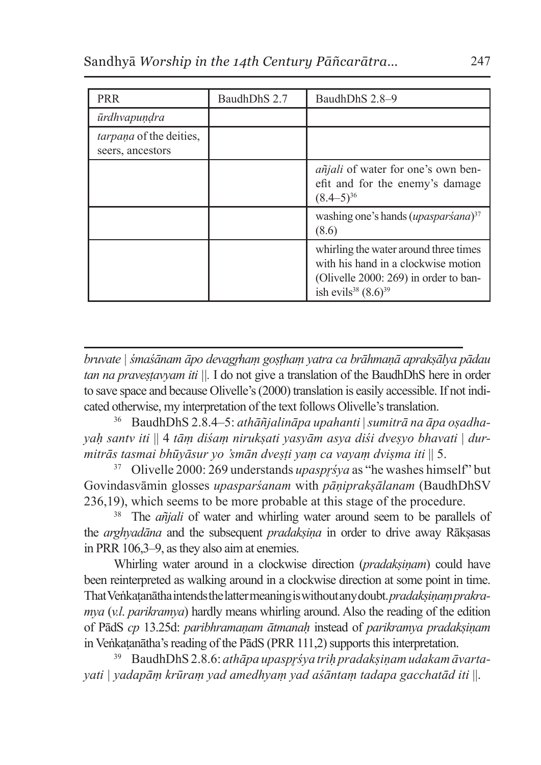| PRR                                         | BaudhDhS 2.7 | BaudhDhS 2.8-9                                                                                                                                                |
|---------------------------------------------|--------------|---------------------------------------------------------------------------------------------------------------------------------------------------------------|
| ūrdhvapundra                                |              |                                                                                                                                                               |
| tarpaņa of the deities,<br>seers, ancestors |              |                                                                                                                                                               |
|                                             |              | <i>añjali</i> of water for one's own ben-<br>efit and for the enemy's damage<br>$(8.4-5)^{36}$                                                                |
|                                             |              | washing one's hands $(\mu \rho \alpha s \rho a r \dot{s} \alpha n a)^{37}$<br>(8.6)                                                                           |
|                                             |              | whirling the water around three times<br>with his hand in a clockwise motion<br>(Olivelle 2000: 269) in order to ban-<br>ish evils <sup>38</sup> $(8.6)^{39}$ |

*bruvate | śmaśānam āpo devagr̥haṃ goṣṭhaṃ yatra ca brāhmaṇā aprakṣālya pādau tan na praveṣṭavyam iti ||.* I do not give a translation of the BaudhDhS here in order to save space and because Olivelle's (2000) translation is easily accessible. If not indicated otherwise, my interpretation of the text follows Olivelle's translation.

<sup>36</sup> BaudhDhS 2.8.4–5: *athāñjalināpa upahanti* | *sumitrā na āpa oṣadhayaḥ santv iti* || 4 *tāṃ diśaṃ nirukṣati yasyām asya diśi dveṣyo bhavati* | *durmitrās tasmai bhūyāsur yo 'smān dveṣṭi yaṃ ca vayaṃ dviṣma iti* || 5.

<sup>37</sup> Olivelle 2000: 269 understands *upaspr*śya as "he washes himself" but Govindasvāmin glosses *upasparśanam* with *pāṇiprakṣālanam* (BaudhDhSV 236,19), which seems to be more probable at this stage of the procedure.

<sup>38</sup> The *añjali* of water and whirling water around seem to be parallels of the *arghyadāna* and the subsequent *pradakṣiṇa* in order to drive away Rākṣasas in PRR 106,3–9, asthey also aim at enemies.

Whirling water around in a clockwise direction (*pradaksinam*) could have been reinterpreted as walking around in a clockwise direction at some point in time. ThatVeṅkaṭanātha intends thelatter meaning iswithout any doubt. *pradakṣiṇaṃprakramya* (*v.l*. *parikramya*) hardly means whirling around. Also the reading of the edition of PādS *cp* 13.25d: *paribhramaṇam ātmanaḥ* instead of *parikramya pradakṣiṇam*  in Veṅkaṭanātha's reading of the PādS (PRR 111,2) supports this interpretation.

<sup>39</sup> BaudhDhS 2.8.6: *athāpa upaspr̥śya triḥ pradakṣiṇam udakam āvartayati | yadapāṃ krūraṃ yad amedhyaṃ yad aśāntaṃ tadapa gacchatād iti* ||.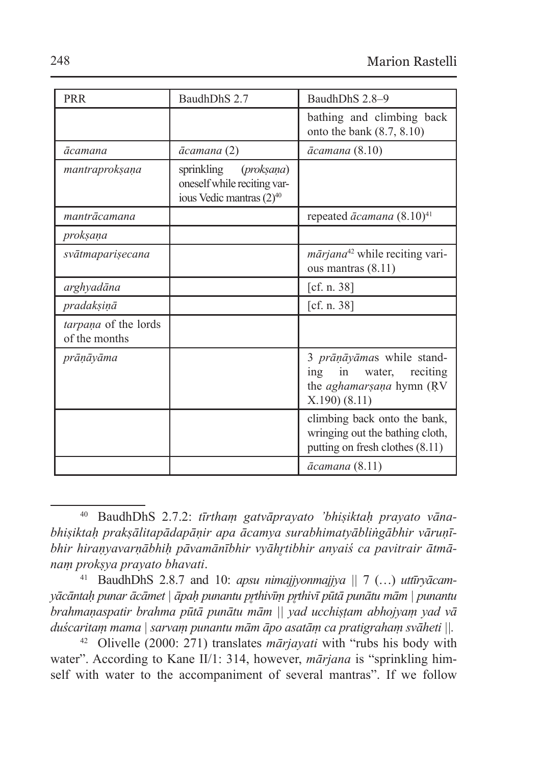| PRR                                   | BaudhDhS 2.7                                                                                             | BaudhDhS 2.8-9                                                                                              |
|---------------------------------------|----------------------------------------------------------------------------------------------------------|-------------------------------------------------------------------------------------------------------------|
|                                       |                                                                                                          | bathing and climbing back<br>onto the bank $(8.7, 8.10)$                                                    |
| ācamana                               | ācamana (2)                                                                                              | ācamana (8.10)                                                                                              |
| mantraprokṣaṇa                        | sprinkling<br>( <i>proksana</i> )<br>oneself while reciting var-<br>ious Vedic mantras (2) <sup>40</sup> |                                                                                                             |
| mantrācamana                          |                                                                                                          | repeated $\bar{a}c$ amana $(8.10)^{41}$                                                                     |
| proksana                              |                                                                                                          |                                                                                                             |
| svātmaparisecana                      |                                                                                                          | mārjana <sup>42</sup> while reciting vari-<br>ous mantras $(8.11)$                                          |
| arghyadāna                            |                                                                                                          | [cf. n. 38]                                                                                                 |
| pradakşiņā                            |                                                                                                          | [cf. n. $38$ ]                                                                                              |
| tarpana of the lords<br>of the months |                                                                                                          |                                                                                                             |
| prānāyāma                             |                                                                                                          | 3 prāņāyāmas while stand-<br>in<br>water, reciting<br>ing<br>the <i>aghamarsana</i> hymn (RV<br>X.190(8.11) |
|                                       |                                                                                                          | climbing back onto the bank,<br>wringing out the bathing cloth,<br>putting on fresh clothes (8.11)          |
|                                       |                                                                                                          | <i>ācamana</i> (8.11)                                                                                       |

<sup>40</sup> BaudhDhS 2.7.2: *tīrthaṃ gatvāprayato 'bhiṣiktaḥ prayato vānabhiṣiktaḥ prakṣālitapādapāṇir apa ācamya surabhimatyābliṅgābhir vāruṇībhir hiraṇyavarṇābhiḥ pāvamānībhir vyāhr̥tibhir anyaiś ca pavitrair ātmānaṃ prokṣya prayato bhavati*. 41 BaudhDhS 2.8.7 and 10: *apsu nimajjyonmajjya ||* <sup>7</sup> (…) *uttīryācam-*

<sup>42</sup> Olivelle (2000: 271) translates *mārjayati* with "rubs his body with water". According to Kane II/1: 314, however, *mārjana* is "sprinkling himself with water to the accompaniment of several mantras". If we follow

*yācāntaḥ punar ācāmet | āpaḥ punantu pr̥thivīṃ pr̥thivī pūtā punātu mām | punantu brahmaṇaspatir brahma pūtā punātu mām || yad ucchiṣṭam abhojyaṃ yad vā duścaritaṃ mama | sarvaṃ punantu mām āpo asatāṃ ca pratigrahaṃ svāheti ||.*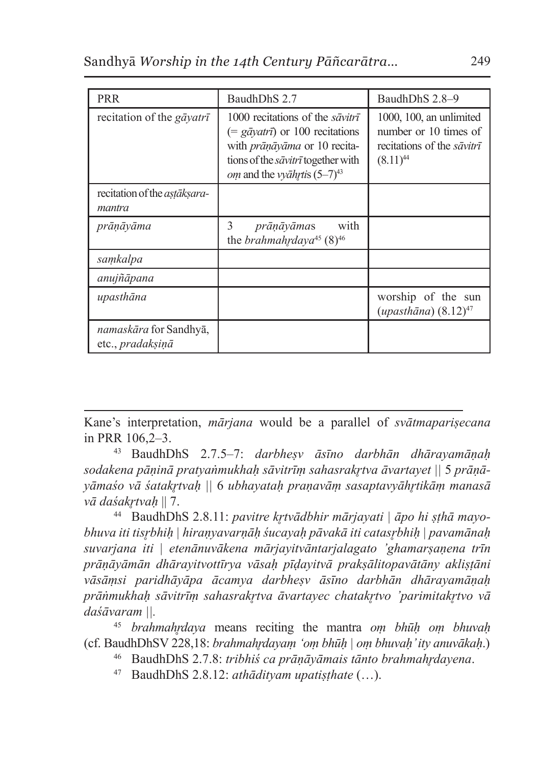| <b>PRR</b>                                               | BaudhDhS 2.7                                                                                                                                                                                              | BaudhDhS 2.8–9                                                                                               |
|----------------------------------------------------------|-----------------------------------------------------------------------------------------------------------------------------------------------------------------------------------------------------------|--------------------------------------------------------------------------------------------------------------|
| recitation of the <i>gavatri</i>                         | 1000 recitations of the <i>savitri</i><br>$(=$ gayatri) or 100 recitations<br>with prāņāyāma or 10 recita-<br>tions of the <i>savitri</i> together with<br><i>om</i> and the <i>vyahytis</i> $(5-7)^{43}$ | $1000$ , $100$ , an unlimited<br>number or 10 times of<br>recitations of the <i>savitri</i><br>$(8.11)^{44}$ |
| recitation of the <i>astaksara</i> -<br>mantra           |                                                                                                                                                                                                           |                                                                                                              |
| prānāyāma                                                | 3<br>with<br>prāņāyāmas<br>the <i>brahmahrdaya</i> <sup>45</sup> (8) <sup>46</sup>                                                                                                                        |                                                                                                              |
| samkalpa                                                 |                                                                                                                                                                                                           |                                                                                                              |
| anujñāpana                                               |                                                                                                                                                                                                           |                                                                                                              |
| upasthāna                                                |                                                                                                                                                                                                           | worship of the sun<br>$(upasthāna)$ $(8.12)^{47}$                                                            |
| <i>namaskāra</i> for Sandhyā,<br>etc., <i>pradaksinā</i> |                                                                                                                                                                                                           |                                                                                                              |

Kane's interpretation, *mārjana* would be a parallel of *svātmapariṣecana*  in PRR 106,2–3.

<sup>43</sup> BaudhDhS 2.7.5–7: *darbheṣv āsīno darbhān dhārayamāṇaḥ sodakena pāṇinā pratyaṅmukhaḥ sāvitrīṃ sahasrakr̥tva āvartayet ||* 5 *prāṇāyāmaśo vā śatakr̥tvaḥ ||* 6 *ubhayataḥ praṇavāṃ sasaptavyāhr̥tikāṃ manasā vā daśakr̥tvaḥ* || 7.

<sup>44</sup> BaudhDhS 2.8.11: *pavitre kr̥tvādbhir mārjayati | āpo hi ṣṭhā mayobhuva iti tisr̥bhiḥ | hiraṇyavarṇāḥ śucayaḥ pāvakā iti catasr̥bhiḥ | pavamānaḥ suvarjana iti | etenānuvākena mārjayitvāntarjalagato 'ghamarṣaṇena trīn prāṇāyāmān dhārayitvottīrya vāsaḥ pīḍayitvā prakṣālitopavātāny akliṣṭāni vāsāṃsi paridhāyāpa ācamya darbheṣv āsīno darbhān dhārayamāṇaḥ prāṅmukhaḥ sāvitrīṃ sahasrakr̥tva āvartayec chatakr̥tvo 'parimitakr̥tvo vā daśāvaram ||.*

<sup>45</sup> *brahmahr̥daya* means reciting the mantra *oṃ bhūḥ oṃ bhuvaḥ*  (cf. BaudhDhSV 228,18: *brahmahr̥dayaṃ 'oṃ bhūḥ | oṃ bhuvaḥ' ity anuvākaḥ*.)

<sup>46</sup> BaudhDhS 2.7.8: *tribhiś ca prāṇāyāmais tānto brahmahr̥dayena*.

<sup>47</sup> BaudhDhS 2.8.12: *athādityam upatiṣṭhate* (…).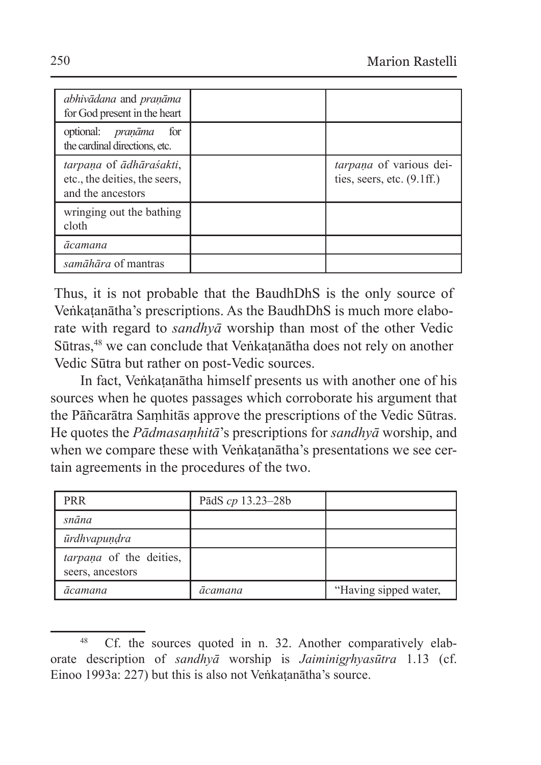| abhivādana and praņāma<br>for God present in the heart                        |                                                         |
|-------------------------------------------------------------------------------|---------------------------------------------------------|
| optional: <i>praņāma</i><br>for<br>the cardinal directions, etc.              |                                                         |
| tarpana of ādhāraśakti,<br>etc., the deities, the seers,<br>and the ancestors | tarpaņa of various dei-<br>ties, seers, etc. $(9.1ff.)$ |
| wringing out the bathing<br>cloth                                             |                                                         |
| ācamana                                                                       |                                                         |
| samāhāra of mantras                                                           |                                                         |

Thus, it is not probable that the BaudhDhS is the only source of Veṅkaṭanātha's prescriptions. As the BaudhDhS is much more elaborate with regard to *sandhyā* worship than most of the other Vedic Sūtras,<sup>48</sup> we can conclude that Veṅkatanātha does not rely on another Vedic Sūtra but rather on post-Vedic sources.

In fact, Veṅkaṭanātha himself presents us with another one of his sources when he quotes passages which corroborate his argument that the Pāñcarātra Saṃhitās approve the prescriptions of the Vedic Sūtras. He quotes the *Pādmasaṃhitā*'s prescriptions for *sandhyā* worship, and when we compare these with Veṅkatanātha's presentations we see certain agreements in the procedures of the two.

| <b>PRR</b>                                         | PādS $cp$ 13.23–28b |                       |
|----------------------------------------------------|---------------------|-----------------------|
| snāna                                              |                     |                       |
| ūrdhvapundra                                       |                     |                       |
| <i>tarpana</i> of the deities,<br>seers, ancestors |                     |                       |
| ācamana                                            | ācamana             | "Having sipped water, |

<sup>&</sup>lt;sup>48</sup> Cf. the sources quoted in n. 32. Another comparatively elaborate description of *sandhyā* worship is *Jaiminigrhyasūtra* 1.13 (cf. Einoo 1993a: 227) but this is also not Veṅkaṭanātha's source.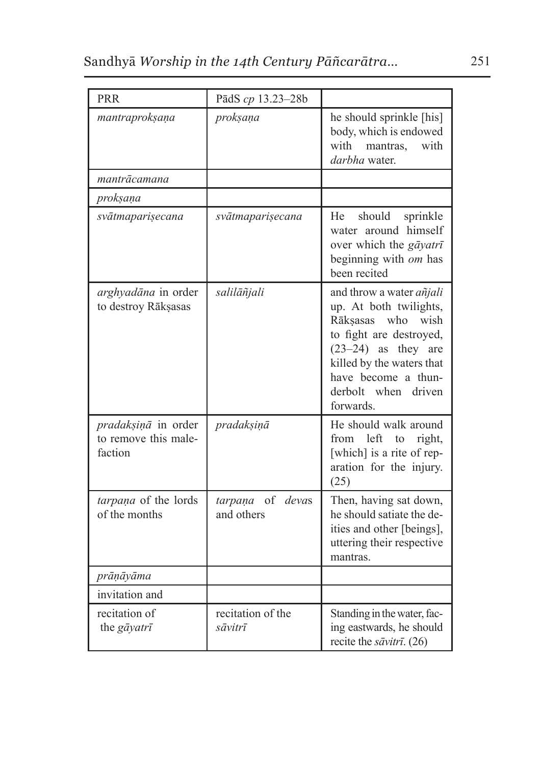| <b>PRR</b>                                             | PādS cp 13.23-28b                 |                                                                                                                                                                                                                            |
|--------------------------------------------------------|-----------------------------------|----------------------------------------------------------------------------------------------------------------------------------------------------------------------------------------------------------------------------|
| mantraprokṣaṇa                                         | proksana                          | he should sprinkle [his]<br>body, which is endowed<br>with<br>mantras.<br>with<br>darbha water.                                                                                                                            |
| mantrācamana                                           |                                   |                                                                                                                                                                                                                            |
| proksana                                               |                                   |                                                                                                                                                                                                                            |
| svātmaparisecana                                       | svātmaparisecana                  | should<br>He<br>sprinkle<br>water around himself<br>over which the gāyatrī<br>beginning with om has<br>been recited                                                                                                        |
| arghyadāna in order<br>to destroy Rākṣasas             | salilāñjali                       | and throw a water <i>añjali</i><br>up. At both twilights,<br>Rāksasas who wish<br>to fight are destroyed,<br>$(23-24)$ as they are<br>killed by the waters that<br>have become a thun-<br>derbolt when driven<br>forwards. |
| pradaksiņā in order<br>to remove this male-<br>faction | pradakşiņā                        | He should walk around<br>from left to right,<br>[which] is a rite of rep-<br>aration for the injury.<br>(25)                                                                                                               |
| tarpana of the lords<br>of the months                  | of devas<br>tarpana<br>and others | Then, having sat down,<br>he should satiate the de-<br>ities and other [beings],<br>uttering their respective<br>mantras.                                                                                                  |
| prāņāyāma                                              |                                   |                                                                                                                                                                                                                            |
| invitation and                                         |                                   |                                                                                                                                                                                                                            |
| recitation of<br>the gāyatrī                           | recitation of the<br>sāvitrī      | Standing in the water, fac-<br>ing eastwards, he should<br>recite the sāvitrī. (26)                                                                                                                                        |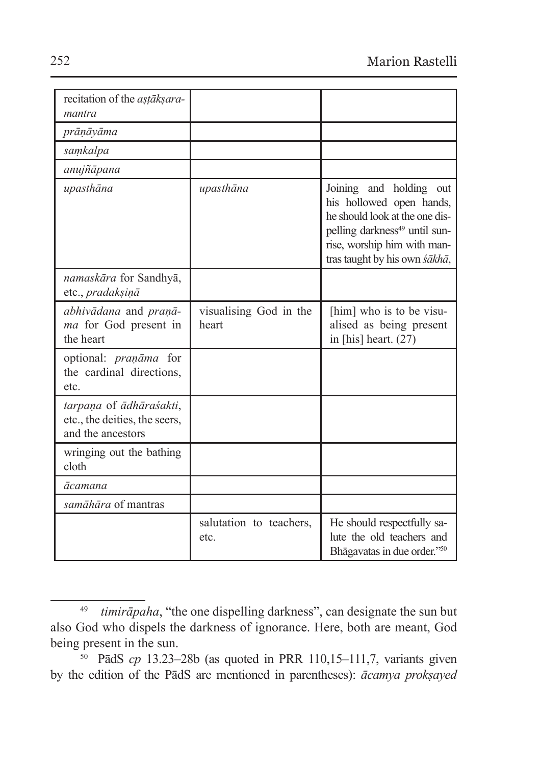| recitation of the <i>astaksara</i> -<br>mantra                                |                                 |                                                                                                                                                                                                    |
|-------------------------------------------------------------------------------|---------------------------------|----------------------------------------------------------------------------------------------------------------------------------------------------------------------------------------------------|
| prāņāyāma                                                                     |                                 |                                                                                                                                                                                                    |
| samkalpa                                                                      |                                 |                                                                                                                                                                                                    |
| anujñāpana                                                                    |                                 |                                                                                                                                                                                                    |
| upasthāna                                                                     | upasthāna                       | Joining and holding out<br>his hollowed open hands,<br>he should look at the one dis-<br>pelling darkness <sup>49</sup> until sun-<br>rise, worship him with man-<br>tras taught by his own śākhā, |
| namaskāra for Sandhyā,<br>etc., pradakșiņā                                    |                                 |                                                                                                                                                                                                    |
| abhivādana and praņā-<br>ma for God present in<br>the heart                   | visualising God in the<br>heart | [him] who is to be visu-<br>alised as being present<br>in [his] heart. $(27)$                                                                                                                      |
| optional: <i>praņāma</i> for<br>the cardinal directions,<br>etc.              |                                 |                                                                                                                                                                                                    |
| tarpaņa of ādhāraśakti,<br>etc., the deities, the seers,<br>and the ancestors |                                 |                                                                                                                                                                                                    |
| wringing out the bathing<br>cloth                                             |                                 |                                                                                                                                                                                                    |
| ācamana                                                                       |                                 |                                                                                                                                                                                                    |
| samāhāra of mantras                                                           |                                 |                                                                                                                                                                                                    |
|                                                                               | salutation to teachers,<br>etc. | He should respectfully sa-<br>lute the old teachers and<br>Bhāgavatas in due order."50                                                                                                             |

<sup>49</sup> *timirāpaha*, "the one dispelling darkness", can designate the sun but also God who dispels the darkness of ignorance. Here, both are meant, God being present in the sun.

<sup>50</sup> PādS *cp* 13.23–28b (as quoted in PRR 110,15–111,7, variants given by the edition of the PādS are mentioned in parentheses): *ācamya prokṣayed*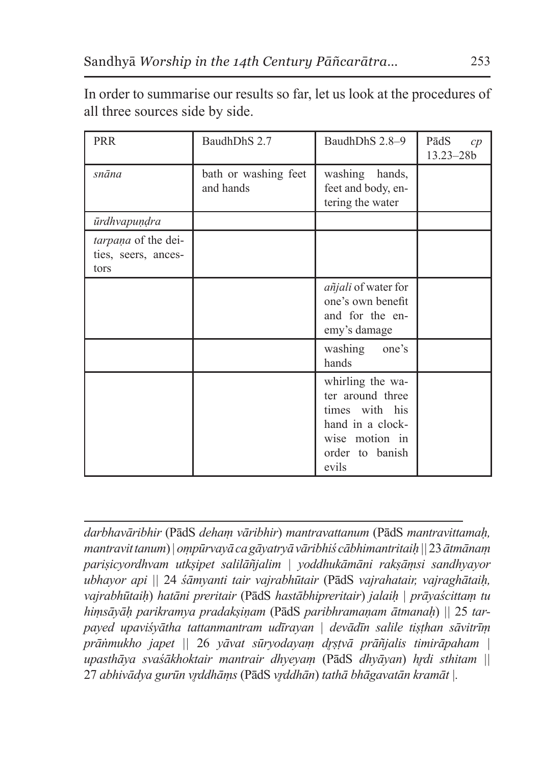PRR BaudhDhS 2.7 BaudhDhS 2.8–9 PādS *cp* 13.23–28b *snāna* bath or washing feet and hands washing hands, feet and body, entering the water *ūrdhvapuṇḍra tarpaṇa* of the deities, seers, ancestors *añjali* of water for one's own benefit and for the enemy's damage washing one's hands whirling the water around three times with his hand in a clockwise motion in order to banish evils

In order to summarise our results so far, let us look at the procedures of all three sources side by side.

*darbhavāribhir* (PādS *dehaṃ vāribhir*) *mantravattanum* (PādS *mantravittamaḥ, mantravit tanum*) *| oṃpūrvayā ca gāyatryā vāribhiś cābhimantritaiḥ ||* 23 *ātmānaṃ pariṣicyordhvam utkṣipet salilāñjalim | yoddhukāmāni rakṣāṃsi sandhyayor ubhayor api ||* 24 *śāmyanti tair vajrabhūtair* (PādS *vajrahatair, vajraghātaiḥ, vajrabhūtaiḥ*) *hatāni preritair* (PādS *hastābhipreritair*) *jalaiḥ | prāyaścittaṃ tu hiṃsāyāḥ parikramya pradakṣiṇam* (PādS *paribhramaṇam ātmanaḥ*) *||* 25 *tarpayed upaviśyātha tattanmantram udīrayan | devādīn salile tiṣṭhan sāvitrīṃ prāṅmukho japet ||* 26 *yāvat sūryodayaṃ dr̥ṣṭvā prāñjalis timirāpaham | upasthāya svaśākhoktair mantrair dhyeyaṃ* (PādS *dhyāyan*) *hr̥di sthitam ||*  27 *abhivādya gurūn vr̥ddhāṃs* (PādS *vr̥ddhān*) *tathā bhāgavatān kramāt |.*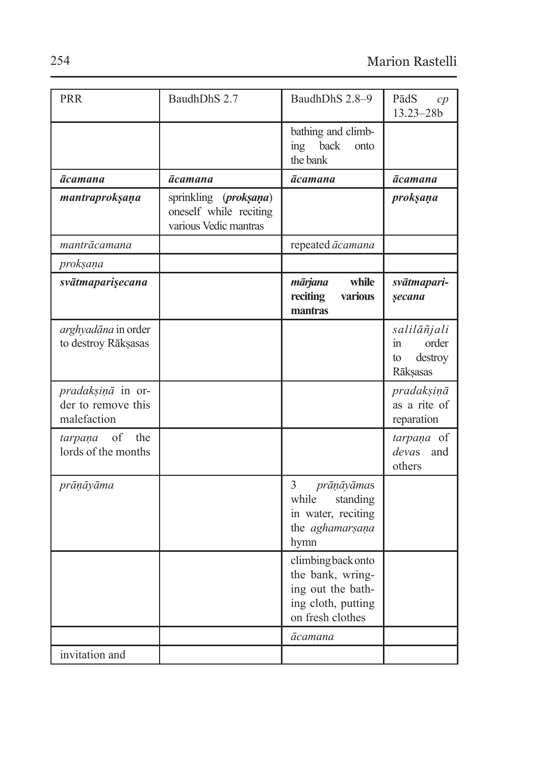| <b>PRR</b>                                             | BaudhDhS 2.7                                                                | BaudhDhS 2.8-9                                                                                        | PādS<br>cp<br>13.23-28b                                 |
|--------------------------------------------------------|-----------------------------------------------------------------------------|-------------------------------------------------------------------------------------------------------|---------------------------------------------------------|
|                                                        |                                                                             | bathing and climb-<br>ing back<br>onto<br>the bank                                                    |                                                         |
| ācamana                                                | ācamana                                                                     | ācamana                                                                                               | <b>ācamana</b>                                          |
| mantraproksaņa                                         | (proksaņa)<br>sprinkling<br>oneself while reciting<br>various Vedic mantras |                                                                                                       | proksaņa                                                |
| mantrācamana                                           |                                                                             | repeated ācamana                                                                                      |                                                         |
| proksana                                               |                                                                             |                                                                                                       |                                                         |
| svātmaparişecana                                       |                                                                             | while<br>mārjana<br>reciting<br>various<br>mantras                                                    | svātmapari-<br>secana                                   |
| arghyadāna in order<br>to destroy Rākșasas             |                                                                             |                                                                                                       | salilāñjali<br>order<br>in<br>destroy<br>to<br>Rāksasas |
| pradaksiņā in or-<br>der to remove this<br>malefaction |                                                                             |                                                                                                       | pradakşiņā<br>as a rite of<br>reparation                |
| of<br>the<br>tarpaņa<br>lords of the months            |                                                                             |                                                                                                       | tarpaņa of<br>devas<br>and<br>others                    |
| prāņāyāma                                              |                                                                             | $\mathfrak{Z}$<br>prāņāyāmas<br>while<br>standing<br>in water, reciting<br>the aghamarșana<br>hymn    |                                                         |
|                                                        |                                                                             | climbing back onto<br>the bank, wring-<br>ing out the bath-<br>ing cloth, putting<br>on fresh clothes |                                                         |
|                                                        |                                                                             | ācamana                                                                                               |                                                         |
| invitation and                                         |                                                                             |                                                                                                       |                                                         |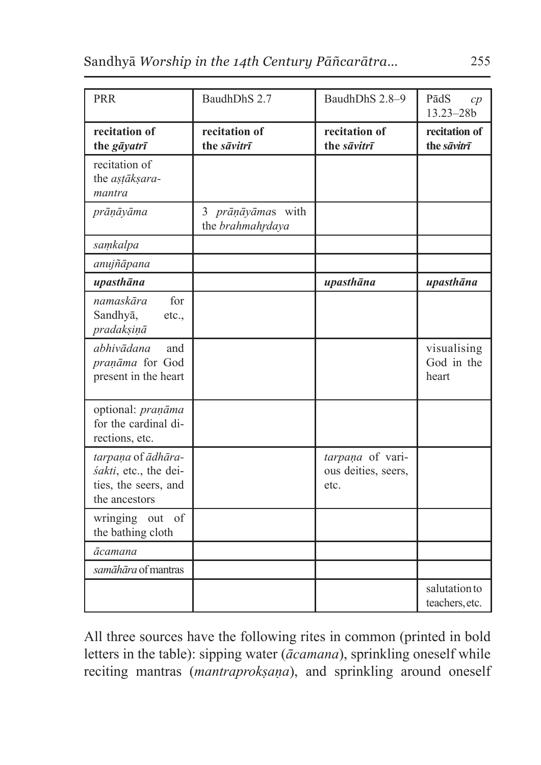| PRR                                                                                  | BaudhDhS 2.7                          | BaudhDhS 2.8-9                                  | PādS<br>cp<br>$13.23 - 28b$        |
|--------------------------------------------------------------------------------------|---------------------------------------|-------------------------------------------------|------------------------------------|
| recitation of<br>the gāyatrī                                                         | recitation of<br>the sāvitrī          | recitation of<br>the sāvitrī                    | recitation of<br>the sāvitrī       |
| recitation of<br>the astāksara-<br>mantra                                            |                                       |                                                 |                                    |
| prāņāyāma                                                                            | 3 prāņāyāmas with<br>the brahmahrdaya |                                                 |                                    |
| samkalpa                                                                             |                                       |                                                 |                                    |
| anujñāpana                                                                           |                                       |                                                 |                                    |
| upasthāna                                                                            |                                       | upasthāna                                       | upasthāna                          |
| for<br>namaskāra<br>Sandhyā,<br>etc.,<br>pradakşiņā                                  |                                       |                                                 |                                    |
| abhivādana<br>and<br>praņāma for God<br>present in the heart                         |                                       |                                                 | visualising<br>God in the<br>heart |
| optional: praņāma<br>for the cardinal di-<br>rections, etc.                          |                                       |                                                 |                                    |
| tarpana of ādhāra-<br>śakti, etc., the dei-<br>ties, the seers, and<br>the ancestors |                                       | tarpana of vari-<br>ous deities, seers,<br>etc. |                                    |
| wringing out of<br>the bathing cloth                                                 |                                       |                                                 |                                    |
| ācamana                                                                              |                                       |                                                 |                                    |
| samāhāra of mantras                                                                  |                                       |                                                 |                                    |
|                                                                                      |                                       |                                                 | salutation to<br>teachers, etc.    |

All three sources have the following rites in common (printed in bold letters in the table): sipping water (*ācamana*), sprinkling oneself while reciting mantras (*mantraprokṣaṇa*), and sprinkling around oneself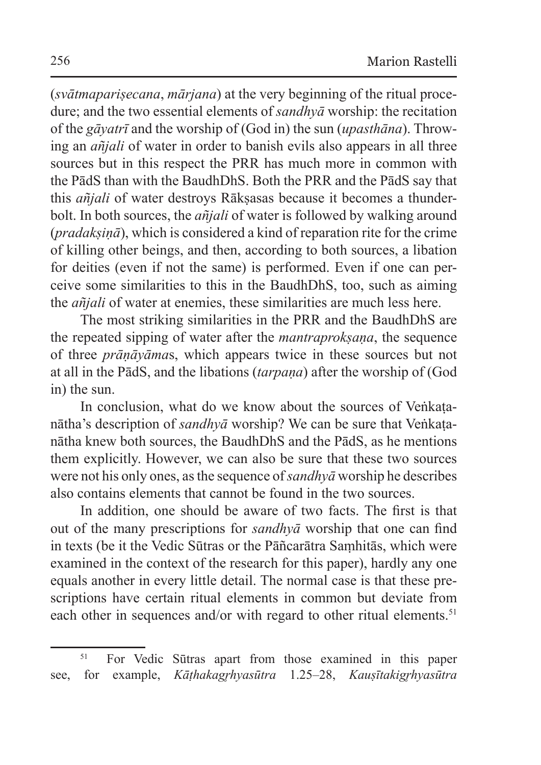(*svātmapariṣecana*, *mārjana*) at the very beginning of the ritual procedure; and the two essential elements of *sandhyā* worship: the recitation of the *gāyatrī* and the worship of (God in) the sun (*upasthāna*). Throwing an *añjali* of water in order to banish evils also appears in all three sources but in this respect the PRR has much more in common with the PādS than with the BaudhDhS. Both the PRR and the PādS say that this *añjali* of water destroys Rākṣasas because it becomes a thunderbolt. In both sources, the *añjali* of water is followed by walking around (*pradakṣiṇā*), which is considered a kind of reparation rite for the crime of killing other beings, and then, according to both sources, a libation for deities (even if not the same) is performed. Even if one can perceive some similarities to this in the BaudhDhS, too, such as aiming the *añjali* of water at enemies, these similarities are much less here.

The most striking similarities in the PRR and the BaudhDhS are the repeated sipping of water after the *mantraprokṣaṇa*, the sequence of three *prāṇāyāma*s, which appears twice in these sources but not at all in the PādS, and the libations (*tarpaṇa*) after the worship of (God in) the sun.

In conclusion, what do we know about the sources of Veñkatanātha's description of *sandhyā* worship? We can be sure that Veṅkaṭanātha knew both sources, the BaudhDhS and the PādS, as he mentions them explicitly. However, we can also be sure that these two sources were not his only ones, asthe sequence of *sandhyā* worship he describes also contains elements that cannot be found in the two sources.

In addition, one should be aware of two facts. The first is that out of the many prescriptions for *sandhyā* worship that one can find in texts (be it the Vedic Sūtras or the Pāñcarātra Saṃhitās, which were examined in the context of the research for this paper), hardly any one equals another in every little detail. The normal case is that these prescriptions have certain ritual elements in common but deviate from each other in sequences and/or with regard to other ritual elements.<sup>51</sup>

<sup>51</sup> For Vedic Sūtras apart from those examined in this paper see, for example, *Kāthakagrhyasūtra* 1.25–28, *Kausītakigrhyasūtra*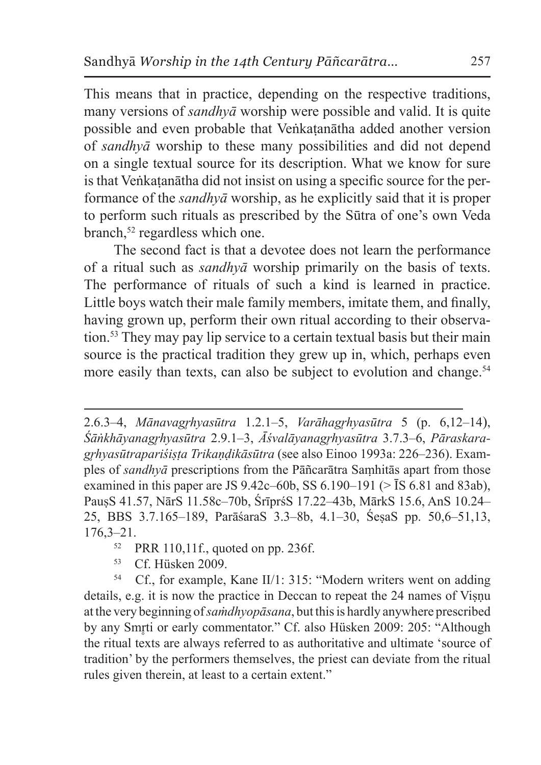This means that in practice, depending on the respective traditions, many versions of *sandhyā* worship were possible and valid. It is quite possible and even probable that Veṅkaṭanātha added another version of *sandhyā* worship to these many possibilities and did not depend on a single textual source for its description. What we know for sure is that Veṅkatanātha did not insist on using a specific source for the performance of the *sandhyā* worship, as he explicitly said that it is proper to perform such rituals as prescribed by the Sūtra of one's own Veda branch,<sup>52</sup> regardless which one.

The second fact is that a devotee does not learn the performance of a ritual such as *sandhyā* worship primarily on the basis of texts. The performance of rituals of such a kind is learned in practice. Little boys watch their male family members, imitate them, and finally, having grown up, perform their own ritual according to their observation.53 They may pay lip service to a certain textual basis but their main source is the practical tradition they grew up in, which, perhaps even more easily than texts, can also be subject to evolution and change.<sup>54</sup>

53 Cf. Hüsken 2009.

54 Cf., for example, Kane II/1: 315: "Modern writers went on adding details, e.g. it is now the practice in Deccan to repeat the 24 names of Viṣṇu at the very beginning of *saṁdhyopāsana*, but this is hardly anywhere prescribed by any Smrti or early commentator." Cf. also Hüsken 2009: 205: "Although the ritual texts are always referred to as authoritative and ultimate 'source of tradition' by the performers themselves, the priest can deviate from the ritual rules given therein, at least to a certain extent."

<sup>2.6.3–4,</sup> *Mānavagr̥hyasūtra* 1.2.1–5, *Varāhagr̥hyasūtra* 5 (p. 6,12–14), *Śāṅkhāyanagr̥hyasūtra* 2.9.1–3, *Āśvalāyanagr̥hyasūtra* 3.7.3–6, *Pāraskaragr̥hyasūtrapariśiṣṭa Trikaṇḍikāsūtra* (see also Einoo 1993a: 226–236). Examples of *sandhyā* prescriptions from the Pāñcarātra Saṃhitās apart from those examined in this paper are JS 9.42c–60b, SS 6.190–191 ( $>$   $\overline{S}$  6.81 and 83ab), PauṣS 41.57, NārS 11.58c–70b, ŚrīprśS 17.22–43b, MārkS 15.6, AnS 10.24– 25, BBS 3.7.165–189, ParāśaraS 3.3–8b, 4.1–30, ŚeṣaS pp. 50,6–51,13,  $176,3-21$ .

<sup>52</sup> PRR 110,11f., quoted on pp. 236f.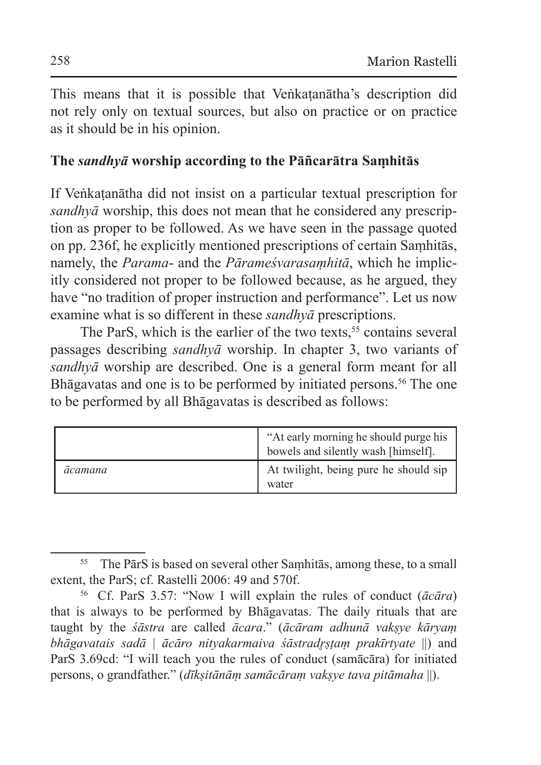This means that it is possible that Veṅkatanātha's description did not rely only on textual sources, but also on practice or on practice as it should be in his opinion.

### **The** *sandhyā* **worship according to the Pāñcarātra Saṃhitās**

If Veṅkaṭanātha did not insist on a particular textual prescription for *sandhyā* worship, this does not mean that he considered any prescription as proper to be followed. As we have seen in the passage quoted on pp. 236f, he explicitly mentioned prescriptions of certain Saṃhitās, namely, the *Parama*- and the *Pārameśvarasaṃhitā*, which he implicitly considered not proper to be followed because, as he argued, they have "no tradition of proper instruction and performance". Let us now examine what is so different in these *sandhyā* prescriptions.

The ParS, which is the earlier of the two texts,  $55$  contains several passages describing *sandhyā* worship. In chapter 3, two variants of *sandhyā* worship are described. One is a general form meant for all Bhāgavatas and one is to be performed by initiated persons.<sup>56</sup> The one to be performed by all Bhāgavatas is described as follows:

|         | "At early morning he should purge his<br>bowels and silently wash [himself]. |
|---------|------------------------------------------------------------------------------|
| ācamana | At twilight, being pure he should sip<br>water                               |

<sup>55</sup> The PārS is based on several other Saṃhitās, among these, to a small extent, the ParS; cf. Rastelli 2006: 49 and 570f.

<sup>56</sup> Cf. ParS 3.57: "Now I will explain the rules of conduct (*ācāra*) that is always to be performed by Bhāgavatas. The daily rituals that are taught by the *śāstra* are called *ācara*." (*ācāram adhunā vakṣye kāryaṃ bhāgavatais sadā* | *ācāro nityakarmaiva śāstradr̥ṣṭaṃ prakīrtyate* ||) and ParS 3.69cd: "I will teach you the rules of conduct (samācāra) for initiated persons, o grandfather." (*dīkṣitānāṃ samācāraṃ vakṣye tava pitāmaha* ||).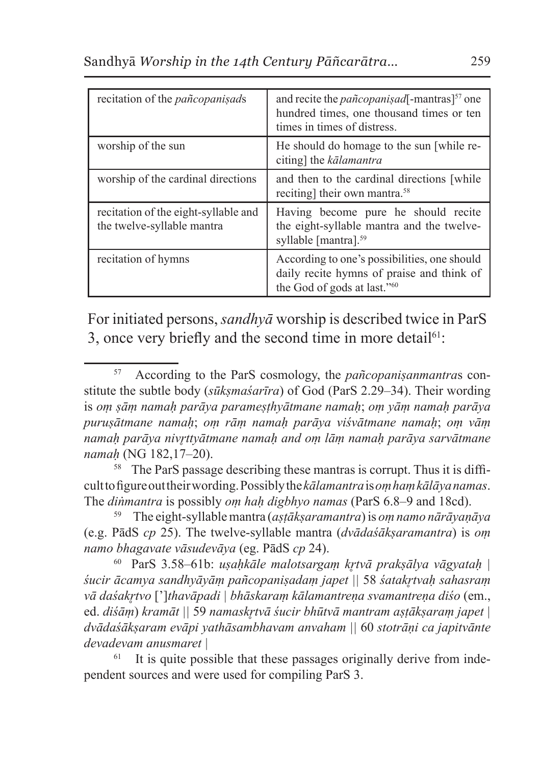| recitation of the <i>pañcopanisads</i>                             | and recite the <i>pañcopanisad</i> [-mantras] <sup>57</sup> one<br>hundred times, one thousand times or ten<br>times in times of distress. |
|--------------------------------------------------------------------|--------------------------------------------------------------------------------------------------------------------------------------------|
| worship of the sun                                                 | He should do homage to the sun [while re-<br>citing] the kalamantra                                                                        |
| worship of the cardinal directions                                 | and then to the cardinal directions [while]<br>reciting] their own mantra. <sup>58</sup>                                                   |
| recitation of the eight-syllable and<br>the twelve-syllable mantra | Having become pure he should recite<br>the eight-syllable mantra and the twelve-<br>syllable [mantra]. <sup>59</sup>                       |
| recitation of hymns                                                | According to one's possibilities, one should<br>daily recite hymns of praise and think of<br>the God of gods at last." <sup>60</sup>       |

For initiated persons, *sandhyā* worship is described twice in ParS 3, once very briefly and the second time in more detail<sup>61</sup>:

<sup>58</sup> The ParS passage describing these mantras is corrupt. Thus it is difficult tofigure out their wording. Possiblythe*kālamantra* is*oṃ haṃ kālāya namas*. The *diṅmantra* is possibly *oṃ haḥ digbhyo namas* (ParS 6.8–9 and 18cd).

59 The eight-syllable mantra (*aṣṭākṣaramantra*) is *oṃ namo nārāyaṇāya*  (e.g. PādS *cp* 25). The twelve-syllable mantra (*dvādaśākṣaramantra*) is *oṃ namo bhagavate vāsudevāya* (eg. PādS *cp* 24).

<sup>60</sup> ParS 3.58–61b: *uṣaḥkāle malotsargaṃ kr̥tvā prakṣālya vāgyataḥ | śucir ācamya sandhyāyāṃ pañcopaniṣadaṃ japet ||* 58 *śatakr̥tvaḥ sahasraṃ vā daśakr̥tvo* [']*thavāpadi | bhāskaraṃ kālamantreṇa svamantreṇa diśo* (em., ed. *diśāṃ*) *kramāt ||* 59 *namaskr̥tvā śucir bhūtvā mantram aṣṭākṣaraṃ japet | dvādaśākṣaram evāpi yathāsambhavam anvaham ||* 60 *stotrāṇi ca japitvānte devadevam anusmaret |*

It is quite possible that these passages originally derive from independent sources and were used for compiling ParS 3.

<sup>57</sup> According to the ParS cosmology, the *pañcopaniṣanmantra*s constitute the subtle body (*sūkṣmaśarīra*) of God (ParS 2.29–34). Their wording is *oṃ ṣāṃ namaḥ parāya parameṣṭhyātmane namaḥ*; *oṃ yāṃ namaḥ parāya puruṣātmane namaḥ*; *oṃ rāṃ namaḥ parāya viśvātmane namaḥ*; *oṃ vāṃ namaḥ parāya nivr̥ttyātmane namaḥ and oṃ lāṃ namaḥ parāya sarvātmane namaḥ* (NG 182,17–20).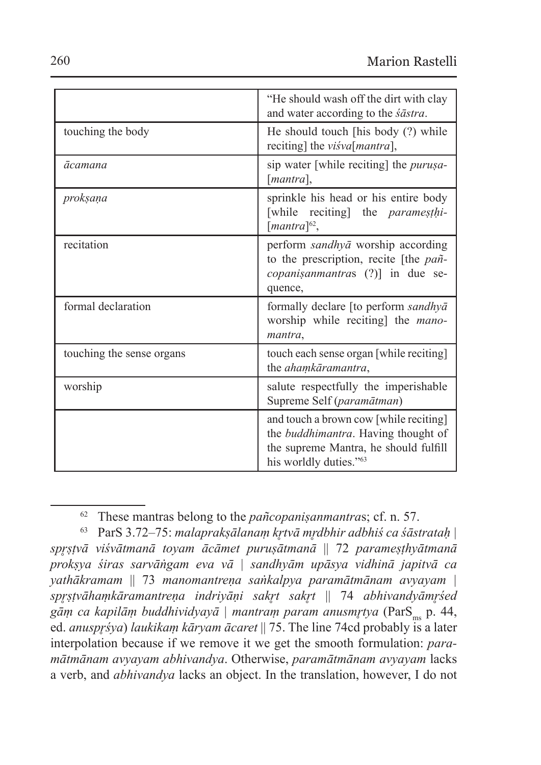|                           | "He should wash off the dirt with clay"<br>and water according to the <i>sastra</i> .                                                                    |
|---------------------------|----------------------------------------------------------------------------------------------------------------------------------------------------------|
| touching the body         | He should touch [his body (?) while<br>reciting] the <i>visva[mantra]</i> ,                                                                              |
| ācamana                   | sip water [while reciting] the <i>purusa</i> -<br>[ <i>mantra</i> ].                                                                                     |
| proksana                  | sprinkle his head or his entire body<br>[while reciting] the <i>paramesthi</i> -<br>$[mantra]^{62}$ ,                                                    |
| recitation                | perform sandhyā worship according<br>to the prescription, recite [the <i>pañ</i> -<br><i>copanisanmantras</i> (?)] in due se-<br>quence,                 |
| formal declaration        | formally declare [to perform sandhya]<br>worship while reciting] the <i>mano-</i><br>mantra,                                                             |
| touching the sense organs | touch each sense organ [while reciting]<br>the ahamkāramantra,                                                                                           |
| worship                   | salute respectfully the imperishable<br>Supreme Self (paramātman)                                                                                        |
|                           | and touch a brown cow [while reciting]<br>the <i>buddhimantra</i> . Having thought of<br>the supreme Mantra, he should fulfill<br>his worldly duties."63 |

<sup>62</sup> These mantras belong to the *pañcopaniṣanmantra*s; cf. n. 57.

<sup>63</sup> ParS 3.72–75: *malaprakṣālanaṃ kr̥tvā mr̥dbhir adbhiś ca śāstrataḥ | spr̥ṣṭvā viśvātmanā toyam ācāmet puruṣātmanā* || 72 *parameṣṭhyātmanā prokṣya śiras sarvāṅgam eva vā | sandhyām upāsya vidhinā japitvā ca yathākramam* || 73 *manomantreṇa saṅkalpya paramātmānam avyayam | spr̥ṣṭvāhaṃkāramantreṇa indriyāṇi sakr̥t sakr̥t* || 74 *abhivandyāmr̥śed*  gām ca kapilām buddhividyayā | mantram param anusmŗtya (ParS<sub>ms</sub> p. 44, ed. *anuspr̥śya*) *laukikaṃ kāryam ācaret* || 75. The line 74cd probably is a later interpolation because if we remove it we get the smooth formulation: *paramātmānam avyayam abhivandya*. Otherwise, *paramātmānam avyayam* lacks a verb, and *abhivandya* lacks an object. In the translation, however, I do not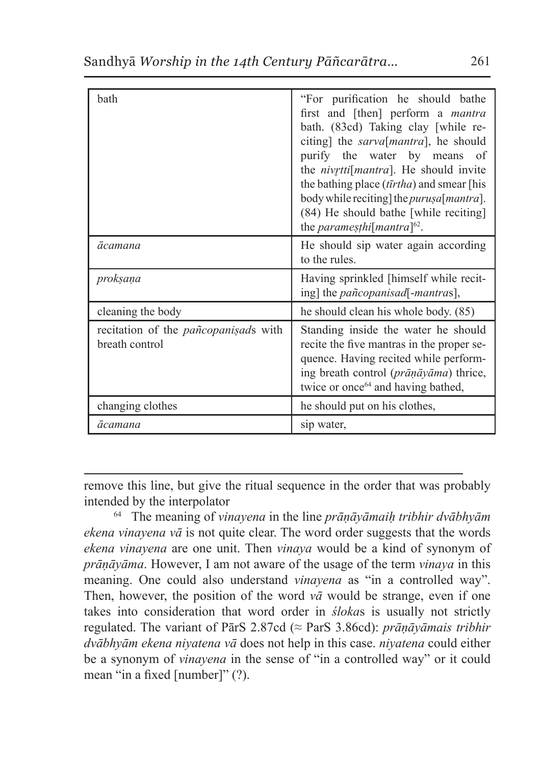| bath                                                          | "For purification he should bathe<br>first and [then] perform a <i>mantra</i><br>bath. (83cd) Taking clay [while re-<br>citing] the <i>sarva</i> [mantra], he should<br>purify the water by means<br>- of<br>the <i>nivrtti</i> [ <i>mantra</i> ]. He should invite<br>the bathing place $(t\bar{t}rtha)$ and smear [his<br>body while reciting] the <i>purusa</i> [mantra].<br>(84) He should bathe [while reciting]<br>the <i>parames<sub>thi</sub></i> mantra <sup>[62</sup> . |
|---------------------------------------------------------------|-----------------------------------------------------------------------------------------------------------------------------------------------------------------------------------------------------------------------------------------------------------------------------------------------------------------------------------------------------------------------------------------------------------------------------------------------------------------------------------|
| ācamana                                                       | He should sip water again according<br>to the rules.                                                                                                                                                                                                                                                                                                                                                                                                                              |
| proksaņa                                                      | Having sprinkled [himself while recit-<br>ing] the <i>pañcopanisad</i> [-mantras],                                                                                                                                                                                                                                                                                                                                                                                                |
| cleaning the body                                             | he should clean his whole body. (85)                                                                                                                                                                                                                                                                                                                                                                                                                                              |
| recitation of the <i>pañcopanisads</i> with<br>breath control | Standing inside the water he should<br>recite the five mantras in the proper se-<br>quence. Having recited while perform-<br>ing breath control (prāņāyāma) thrice,<br>twice or once <sup>64</sup> and having bathed,                                                                                                                                                                                                                                                             |
| changing clothes                                              | he should put on his clothes,                                                                                                                                                                                                                                                                                                                                                                                                                                                     |
| ācamana                                                       | sip water,                                                                                                                                                                                                                                                                                                                                                                                                                                                                        |

remove this line, but give the ritual sequence in the order that was probably intended by the interpolator

<sup>64</sup> The meaning of *vinayena* in the line *prāṇāyāmaiḥ tribhir dvābhyām ekena vinayena vā* is not quite clear. The word order suggests that the words *ekena vinayena* are one unit. Then *vinaya* would be a kind of synonym of *prāṇāyāma*. However, I am not aware of the usage of the term *vinaya* in this meaning. One could also understand *vinayena* as "in a controlled way". Then, however, the position of the word  $v\bar{a}$  would be strange, even if one takes into consideration that word order in *śloka*s is usually not strictly regulated. The variant of PārS 2.87cd (≈ ParS 3.86cd): *prāṇāyāmais tribhir dvābhyām ekena niyatena vā* does not help in this case. *niyatena* could either be a synonym of *vinayena* in the sense of "in a controlled way" or it could mean "in a fixed [number]" (?).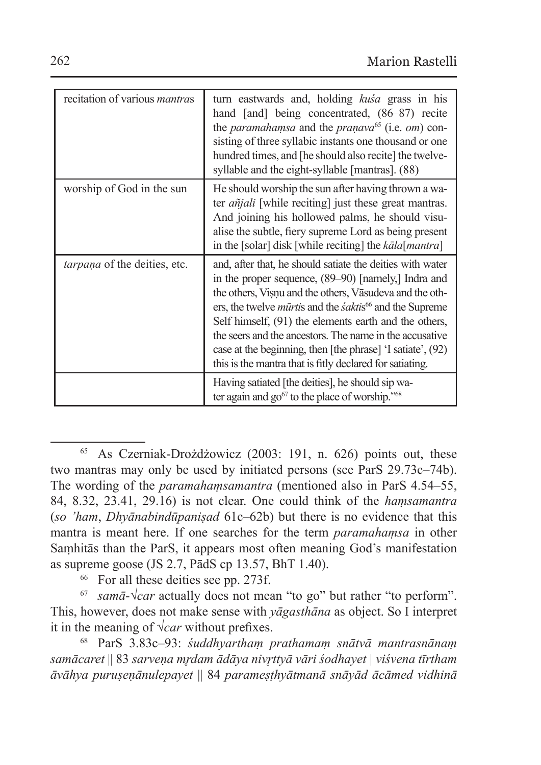| recitation of various <i>mantras</i> | turn eastwards and, holding <i>kusa</i> grass in his<br>hand [and] being concentrated, (86–87) recite<br>the <i>paramahamsa</i> and the <i>pranava</i> <sup>65</sup> (i.e. <i>om</i> ) con-<br>sisting of three syllabic instants one thousand or one<br>hundred times, and [he should also recite] the twelve-<br>syllable and the eight-syllable [mantras]. (88)                                                                                                                                             |
|--------------------------------------|----------------------------------------------------------------------------------------------------------------------------------------------------------------------------------------------------------------------------------------------------------------------------------------------------------------------------------------------------------------------------------------------------------------------------------------------------------------------------------------------------------------|
| worship of God in the sun            | He should worship the sun after having thrown a wa-<br>ter <i>añjali</i> [while reciting] just these great mantras.<br>And joining his hollowed palms, he should visu-<br>alise the subtle, fiery supreme Lord as being present<br>in the [solar] disk [while reciting] the kāla[mantra]                                                                                                                                                                                                                       |
| tarpaņa of the deities, etc.         | and, after that, he should satiate the deities with water<br>in the proper sequence, (89–90) [namely,] Indra and<br>the others, Visnu and the others, Vāsudeva and the oth-<br>ers, the twelve <i>mūrtis</i> and the <i>śaktis</i> <sup>66</sup> and the Supreme<br>Self himself, (91) the elements earth and the others,<br>the seers and the ancestors. The name in the accusative<br>case at the beginning, then [the phrase] 'I satiate', (92)<br>this is the mantra that is fitly declared for satiating. |
|                                      | Having satiated [the deities], he should sip wa-<br>ter again and $g\ddot{o}^{67}$ to the place of worship." <sup>68</sup>                                                                                                                                                                                                                                                                                                                                                                                     |

<sup>65</sup> As Czerniak-Drożdżowicz (2003: 191, n. 626) points out, these two mantras may only be used by initiated persons (see ParS 29.73c–74b). The wording of the *paramahaṃsamantra* (mentioned also in ParS 4.54–55, 84, 8.32, 23.41, 29.16) is not clear. One could think of the *haṃsamantra*  (*so 'ham*, *Dhyānabindūpaniṣad* 61c–62b) but there is no evidence that this mantra is meant here. If one searches for the term *paramahaṃsa* in other Saṃhitās than the ParS, it appears most often meaning God's manifestation as supreme goose (JS 2.7, PādS cp 13.57, BhT 1.40).

<sup>66</sup> For all these deities see pp. 273f.

<sup>67</sup> *samā*-√*car* actually does not mean "to go" but rather "to perform". This, however, does not make sense with *yāgasthāna* as object. So I interpret it in the meaning of √*car* without prefixes.

<sup>68</sup> ParS 3.83c–93: *śuddhyarthaṃ prathamaṃ snātvā mantrasnānaṃ samācaret* || 83 *sarveṇa mr̥dam ādāya nivr̥ttyā vāri śodhayet | viśvena tīrtham āvāhya puruṣeṇānulepayet* || 84 *parameṣṭhyātmanā snāyād ācāmed vidhinā*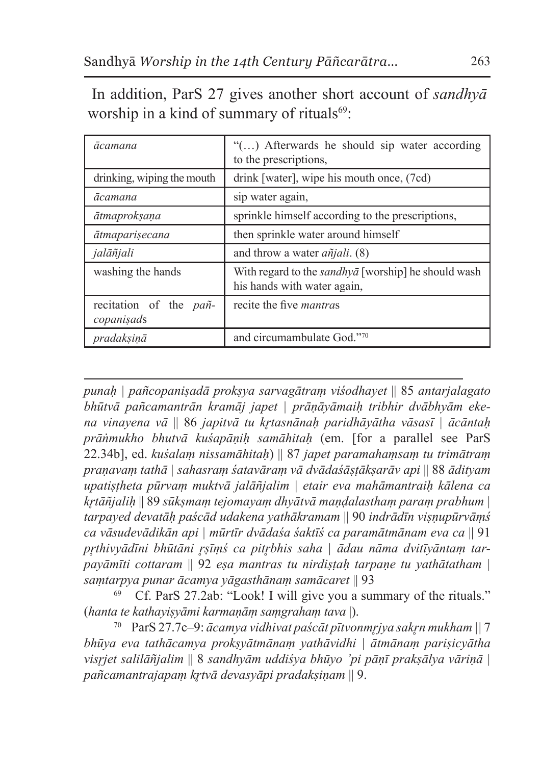In addition, ParS 27 gives another short account of *sandhyā* worship in a kind of summary of rituals $69$ :

| ācamana                                      | "() Afterwards he should sip water according<br>to the prescriptions,                     |
|----------------------------------------------|-------------------------------------------------------------------------------------------|
| drinking, wiping the mouth                   | drink [water], wipe his mouth once, (7cd)                                                 |
| ācamana                                      | sip water again,                                                                          |
| ātmaproksana                                 | sprinkle himself according to the prescriptions,                                          |
| ātmaparisecana                               | then sprinkle water around himself                                                        |
| jalāñjali                                    | and throw a water $a\tilde{n}jali.$ (8)                                                   |
| washing the hands                            | With regard to the <i>sandhya</i> [worship] he should wash<br>his hands with water again. |
| recitation of the <i>pañ</i> -<br>copanisads | recite the five <i>mantras</i>                                                            |
| pradaksinā                                   | and circumambulate God."70                                                                |

*punaḥ | pañcopaniṣadā prokṣya sarvagātraṃ viśodhayet* || 85 *antarjalagato bhūtvā pañcamantrān kramāj japet | prāṇāyāmaiḥ tribhir dvābhyām ekena vinayena vā* || 86 *japitvā tu kr̥tasnānaḥ paridhāyātha vāsasī | ācāntaḥ prāṅmukho bhutvā kuśapāṇiḥ samāhitaḥ* (em. [for a parallel see ParS 22.34b], ed. *kuśalaṃ nissamāhitaḥ*) || 87 *japet paramahaṃsaṃ tu trimātraṃ praṇavaṃ tathā | sahasraṃ śatavāraṃ vā dvādaśāṣṭākṣarāv api* || 88 *ādityam upatiṣṭheta pūrvaṃ muktvā jalāñjalim | etair eva mahāmantraiḥ kālena ca kr̥tāñjaliḥ* || 89 *sūkṣmaṃ tejomayaṃ dhyātvā maṇḍalasthaṃ paraṃ prabhum | tarpayed devatāḥ paścād udakena yathākramam* || 90 *indrādīn viṣṇupūrvāṃś ca vāsudevādikān api | mūrtīr dvādaśa śaktīś ca paramātmānam eva ca* || 91 *pr̥thivyādīni bhūtāni r̥ṣīṃś ca pitr̥bhis saha | ādau nāma dvitīyāntaṃ tarpayāmīti cottaram* || 92 *eṣa mantras tu nirdiṣṭaḥ tarpaṇe tu yathātatham | saṃtarpya punar ācamya yāgasthānaṃ samācaret* || 93

69 Cf. ParS 27.2ab: "Look! I will give you a summary of the rituals." (*hanta te kathayiṣyāmi karmaṇāṃ saṃgrahaṃ tava* |).

<sup>70</sup> ParS 27.7c–9: *ācamya vidhivat paścāt pītvonmr̥jya sakr̥n mukham ||* 7 *bhūya eva tathācamya prokṣyātmānaṃ yathāvidhi | ātmānaṃ pariṣicyātha visr̥jet salilāñjalim* || 8 *sandhyām uddiśya bhūyo 'pi pāṇī prakṣālya vāriṇā | pañcamantrajapaṃ kr̥tvā devasyāpi pradakṣiṇam* || 9.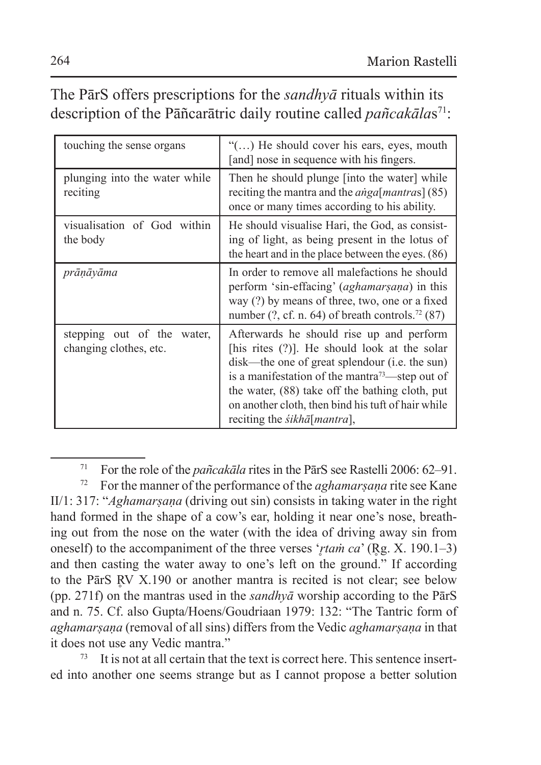# The PārS offers prescriptions for the *sandhyā* rituals within its description of the Pāñcarātric daily routine called *pañcakālas*<sup>71</sup>:

| touching the sense organs                            | " $()$ He should cover his ears, eyes, mouth<br>[and] nose in sequence with his fingers.                                                                                                                                                                                                                                                                    |
|------------------------------------------------------|-------------------------------------------------------------------------------------------------------------------------------------------------------------------------------------------------------------------------------------------------------------------------------------------------------------------------------------------------------------|
| plunging into the water while<br>reciting            | Then he should plunge finto the water while<br>reciting the mantra and the <i>anga</i> [ <i>mantras</i> ] (85)<br>once or many times according to his ability.                                                                                                                                                                                              |
| visualisation of God within<br>the body              | He should visualise Hari, the God, as consist-<br>ing of light, as being present in the lotus of<br>the heart and in the place between the eyes. (86)                                                                                                                                                                                                       |
| prānāyāma                                            | In order to remove all malefactions he should<br>perform 'sin-effacing' (aghamarsana) in this<br>way (?) by means of three, two, one or a fixed<br>number $(?, cf. n. 64)$ of breath controls. <sup>72</sup> (87)                                                                                                                                           |
| stepping out of the water,<br>changing clothes, etc. | Afterwards he should rise up and perform<br>[his rites $(?)$ ]. He should look at the solar<br>disk—the one of great splendour (i.e. the sun)<br>is a manifestation of the mantra <sup>73</sup> —step out of<br>the water, (88) take off the bathing cloth, put<br>on another cloth, then bind his tuft of hair while<br>reciting the <i>sikharmitra</i> ], |

<sup>71</sup> For the role of the *pañcakāla* rites in the PārS see Rastelli 2006: 62–91.

It is not at all certain that the text is correct here. This sentence inserted into another one seems strange but as I cannot propose a better solution

<sup>72</sup> For the manner of the performance of the *aghamarṣaṇa* rite see Kane II/1: 317: "*Aghamarṣaṇa* (driving out sin) consists in taking water in the right hand formed in the shape of a cow's ear, holding it near one's nose, breathing out from the nose on the water (with the idea of driving away sin from oneself) to the accompaniment of the three verses '*rtam ca*' (Rg. X. 190.1–3) and then casting the water away to one's left on the ground." If according to the PārS RV X.190 or another mantra is recited is not clear; see below (pp. 271f) on the mantras used in the *sandhyā* worship according to the PārS and n. 75. Cf. also Gupta/Hoens/Goudriaan 1979: 132: "The Tantric form of *aghamarṣaṇa* (removal of all sins) differs from the Vedic *aghamarṣaṇa* in that it does not use any Vedic mantra."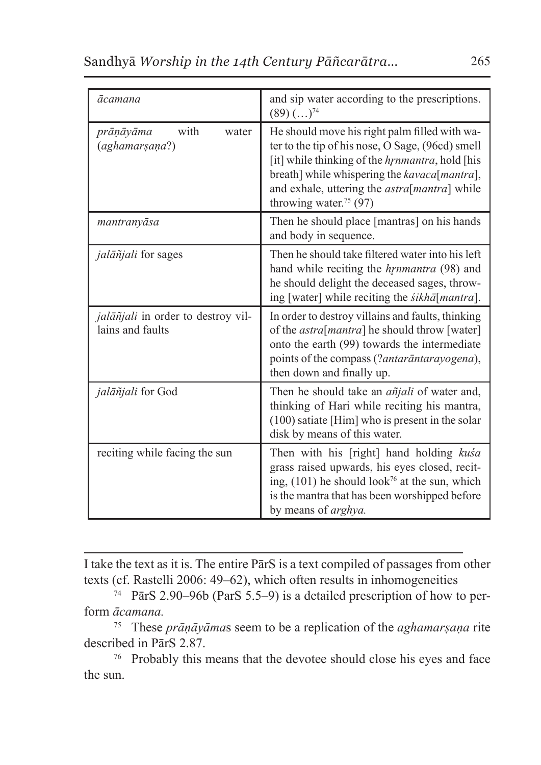| ācamana                                                | and sip water according to the prescriptions.<br>$(89)$ $(\ldots)^{74}$                                                                                                                                                                                                                            |
|--------------------------------------------------------|----------------------------------------------------------------------------------------------------------------------------------------------------------------------------------------------------------------------------------------------------------------------------------------------------|
| with<br>water<br>prāņāyāma<br>(aghamarṣaṇa?)           | He should move his right palm filled with wa-<br>ter to the tip of his nose, O Sage, (96cd) smell<br>[it] while thinking of the hymnantra, hold [his<br>breath] while whispering the kavaca[mantra],<br>and exhale, uttering the <i>astra</i> [mantra] while<br>throwing water. <sup>75</sup> (97) |
| mantranyāsa                                            | Then he should place [mantras] on his hands<br>and body in sequence.                                                                                                                                                                                                                               |
| <i>jalāñjali</i> for sages                             | Then he should take filtered water into his left<br>hand while reciting the <i>hynmantra</i> (98) and<br>he should delight the deceased sages, throw-<br>ing [water] while reciting the <i>sikhā</i> [mantra].                                                                                     |
| jalāñjali in order to destroy vil-<br>lains and faults | In order to destroy villains and faults, thinking<br>of the <i>astra</i> [ <i>mantra</i> ] he should throw [water]<br>onto the earth (99) towards the intermediate<br>points of the compass (?antarāntarayogena),<br>then down and finally up.                                                     |
| jalāñjali for God                                      | Then he should take an <i>añjali</i> of water and,<br>thinking of Hari while reciting his mantra,<br>(100) satiate [Him] who is present in the solar<br>disk by means of this water.                                                                                                               |
| reciting while facing the sun                          | Then with his [right] hand holding kusa<br>grass raised upwards, his eyes closed, recit-<br>ing, $(101)$ he should look <sup>76</sup> at the sun, which<br>is the mantra that has been worshipped before<br>by means of <i>arghya</i> .                                                            |

I take the text as it is. The entire PārS is a text compiled of passages from other texts (cf. Rastelli 2006: 49–62), which often results in inhomogeneities

<sup>74</sup> PārS 2.90–96b (ParS 5.5–9) is a detailed prescription of how to perform *ācamana.*

<sup>75</sup> These *prāṇāyāma*s seem to be a replication of the *aghamarṣaṇa* rite described in PārS 2.87.

<sup>76</sup> Probably this means that the devotee should close his eyes and face the sun.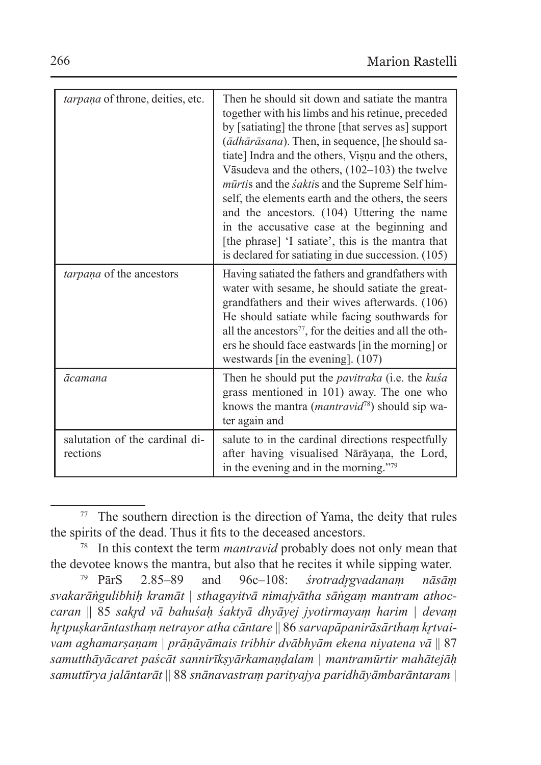| tarpana of throne, deities, etc.           | Then he should sit down and satiate the mantra<br>together with his limbs and his retinue, preceded<br>by [satiating] the throne [that serves as] support<br>(ādhārāsana). Then, in sequence, [he should sa-<br>tiate] Indra and the others, Visnu and the others,<br>Vāsudeva and the others, $(102-103)$ the twelve<br><i>mūrtis</i> and the <i>saktis</i> and the Supreme Self him-<br>self, the elements earth and the others, the seers<br>and the ancestors. (104) Uttering the name<br>in the accusative case at the beginning and<br>[the phrase] 'I satiate', this is the mantra that<br>is declared for satiating in due succession. (105) |
|--------------------------------------------|------------------------------------------------------------------------------------------------------------------------------------------------------------------------------------------------------------------------------------------------------------------------------------------------------------------------------------------------------------------------------------------------------------------------------------------------------------------------------------------------------------------------------------------------------------------------------------------------------------------------------------------------------|
| <i>tarpana</i> of the ancestors            | Having satiated the fathers and grandfathers with<br>water with sesame, he should satiate the great-<br>grandfathers and their wives afterwards. (106)<br>He should satiate while facing southwards for<br>all the ancestors <sup>77</sup> , for the deities and all the oth-<br>ers he should face eastwards [in the morning] or<br>westwards [in the evening]. $(107)$                                                                                                                                                                                                                                                                             |
| ācamana                                    | Then he should put the <i>pavitraka</i> (i.e. the kusa<br>grass mentioned in 101) away. The one who<br>knows the mantra ( <i>mantravid</i> <sup>78</sup> ) should sip wa-<br>ter again and                                                                                                                                                                                                                                                                                                                                                                                                                                                           |
| salutation of the cardinal di-<br>rections | salute to in the cardinal directions respectfully<br>after having visualised Nārāyaṇa, the Lord,<br>in the evening and in the morning."79                                                                                                                                                                                                                                                                                                                                                                                                                                                                                                            |

<sup>77</sup> The southern direction is the direction of Yama, the deity that rules the spirits of the dead. Thus it fits to the deceased ancestors.

<sup>78</sup> In this context the term *mantravid* probably does not only mean that the devotee knows the mantra, but also that he recites it while sipping water.<br>
<sup>79</sup> ParS 2.85–89 and 96c–108: *stotradrevadanam nāsām* 

<sup>79</sup> PārS 2.85–89 and 96c–108: *śrotradr̥gvadanaṃ nāsāṃ svakarāṅgulibhiḥ kramāt | sthagayitvā nimajyātha sāṅgaṃ mantram athoccaran* || 85 *sakr̥d vā bahuśaḥ śaktyā dhyāyej jyotirmayaṃ harim | devaṃ hr̥tpuṣkarāntasthaṃ netrayor atha cāntare* || 86 *sarvapāpanirāsārthaṃ kr̥tvaivam aghamarṣaṇam | prāṇāyāmais tribhir dvābhyām ekena niyatena vā* || 87 *samutthāyācaret paścāt sannirīkṣyārkamaṇḍalam | mantramūrtir mahātejāḥ samuttīrya jalāntarāt* || 88 *snānavastraṃ parityajya paridhāyāmbarāntaram |*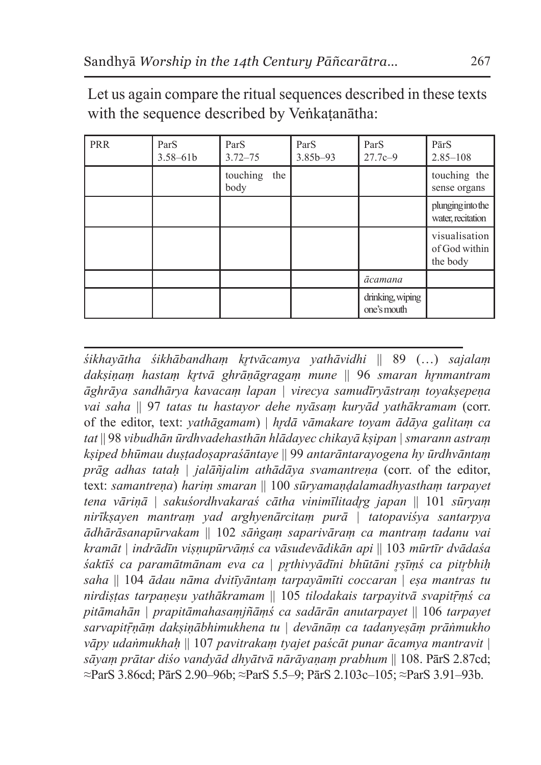| PRR | ParS<br>$3.58 - 61b$ | ParS<br>$3.72 - 75$     | ParS<br>3.85b-93 | ParS<br>$27.7c - 9$             | PārS<br>$2.85 - 108$                       |
|-----|----------------------|-------------------------|------------------|---------------------------------|--------------------------------------------|
|     |                      | touching<br>the<br>body |                  |                                 | touching the<br>sense organs               |
|     |                      |                         |                  |                                 | plunging into the<br>water, recitation     |
|     |                      |                         |                  |                                 | visualisation<br>of God within<br>the body |
|     |                      |                         |                  | ācamana                         |                                            |
|     |                      |                         |                  | drinking, wiping<br>one's mouth |                                            |

Let us again compare the ritual sequences described in these texts with the sequence described by Veṅkatanātha:

*śikhayātha śikhābandhaṃ kr̥tvācamya yathāvidhi* || 89 (…) *sajalaṃ dakṣiṇaṃ hastaṃ kr̥tvā ghrāṇāgragaṃ mune* || 96 *smaran hr̥nmantram āghrāya sandhārya kavacaṃ lapan | virecya samudīryāstraṃ toyakṣepeṇa vai saha* || 97 *tatas tu hastayor dehe nyāsaṃ kuryād yathākramam* (corr. of the editor, text: *yathāgamam*) | *hr̥dā vāmakare toyam ādāya galitaṃ ca tat* || 98 *vibudhān ūrdhvadehasthān hlādayec chikayā kṣipan | smarann astraṃ kṣiped bhūmau duṣṭadoṣapraśāntaye* || 99 *antarāntarayogena hy ūrdhvāntaṃ prāg adhas tataḥ | jalāñjalim athādāya svamantreṇa* (corr. of the editor, text: *samantreṇa*) *hariṃ smaran* || 100 *sūryamaṇḍalamadhyasthaṃ tarpayet tena vāriṇā* | *sakuśordhvakaraś cātha vinimīlitadr̥g japan* || 101 *sūryaṃ nirīkṣayen mantraṃ yad arghyenārcitaṃ purā | tatopaviśya santarpya ādhārāsanapūrvakam* || 102 *sāṅgaṃ saparivāraṃ ca mantraṃ tadanu vai kramāt | indrādīn viṣṇupūrvāṃś ca vāsudevādikān api* || 103 *mūrtīr dvādaśa śaktīś ca paramātmānam eva ca* | *pr̥thivyādīni bhūtāni r̥ṣīṃś ca pitr̥bhiḥ saha* || 104 *ādau nāma dvitīyāntaṃ tarpayāmīti coccaran* | *eṣa mantras tu nirdiṣṭas tarpaṇeṣu yathākramam* || 105 *tilodakais tarpayitvā svapitṝṃś ca pitāmahān | prapitāmahasaṃjñāṃś ca sadārān anutarpayet* || 106 *tarpayet sarvapitṝṇāṃ dakṣiṇābhimukhena tu | devānāṃ ca tadanyeṣāṃ prāṅmukho vāpy udaṅmukhaḥ* || 107 *pavitrakaṃ tyajet paścāt punar ācamya mantravit | sāyaṃ prātar diśo vandyād dhyātvā nārāyaṇaṃ prabhum* || 108. PārS 2.87cd; ≈ParS 3.86cd; PārS 2.90–96b; ≈ParS 5.5–9; PārS 2.103c–105; ≈ParS 3.91–93b.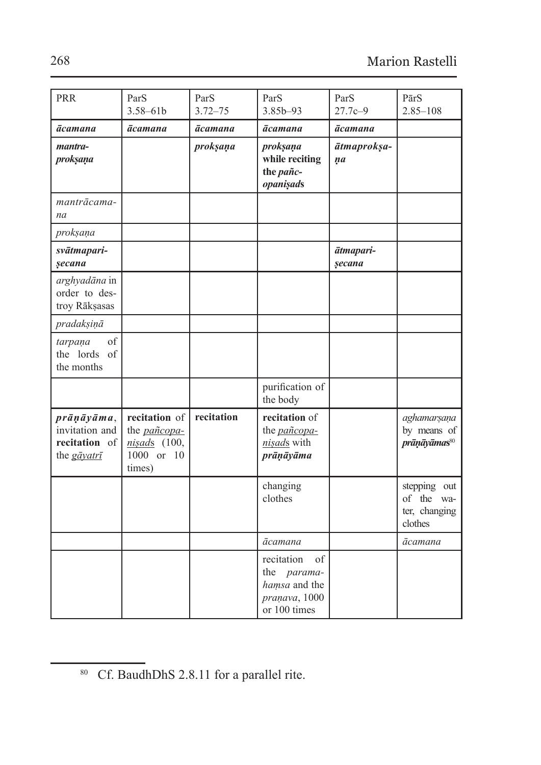| <b>PRR</b>                                                             | ParS<br>$3.58 - 61b$                                                          | ParS<br>$3.72 - 75$ | ParS<br>$3.85b - 93$                                                                      | ParS<br>$27.7c - 9$                 | PārS<br>$2.85 - 108$                                   |
|------------------------------------------------------------------------|-------------------------------------------------------------------------------|---------------------|-------------------------------------------------------------------------------------------|-------------------------------------|--------------------------------------------------------|
|                                                                        |                                                                               |                     |                                                                                           |                                     |                                                        |
| ācamana<br>mantra-<br>proksana                                         | ācamana                                                                       | ācamana<br>proksana | ācamana<br>proksana<br>while reciting<br>the pañc-<br>opanisads                           | <b>ācamana</b><br>ātmaproksa-<br>na |                                                        |
| mantrācama-<br>na                                                      |                                                                               |                     |                                                                                           |                                     |                                                        |
| proksaņa                                                               |                                                                               |                     |                                                                                           |                                     |                                                        |
| svātmapari-<br>secana                                                  |                                                                               |                     |                                                                                           | ātmapari-<br>secana                 |                                                        |
| arghyadāna in<br>order to des-<br>troy Rākșasas                        |                                                                               |                     |                                                                                           |                                     |                                                        |
| pradaksinā                                                             |                                                                               |                     |                                                                                           |                                     |                                                        |
| $_{\mathrm{of}}$<br>tarpaņa<br>the lords of<br>the months              |                                                                               |                     |                                                                                           |                                     |                                                        |
|                                                                        |                                                                               |                     | purification of<br>the body                                                               |                                     |                                                        |
| $prānāvāma$ ,<br>invitation and<br>recitation of<br>the <i>gāyatrī</i> | recitation of<br>the <i>pañcopa</i> -<br>nisads (100,<br>1000 or 10<br>times) | recitation          | recitation of<br>the <i>pañcopa</i> -<br>nisads with<br>prāņāyāma                         |                                     | aghamarsana<br>by means of<br>prāņāyāmas <sup>80</sup> |
|                                                                        |                                                                               |                     | changing<br>clothes                                                                       |                                     | stepping out<br>of the wa-<br>ter, changing<br>clothes |
|                                                                        |                                                                               |                     | ācamana                                                                                   |                                     | ācamana                                                |
|                                                                        |                                                                               |                     | of<br>recitation<br>the <i>parama</i> -<br>hamsa and the<br>pranava, 1000<br>or 100 times |                                     |                                                        |

<sup>&</sup>lt;sup>80</sup> Cf. BaudhDhS 2.8.11 for a parallel rite.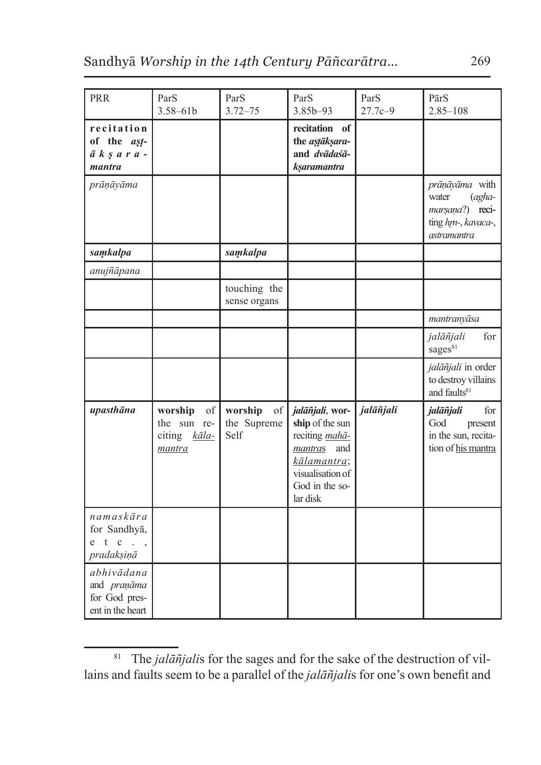| <b>PRR</b>                                                               | ParS<br>$3.58 - 61b$                                   | ParS<br>$3.72 - 75$                  | ParS<br>3.85b-93                                                                                                                     | ParS<br>$27.7c - 9$ | PārS<br>$2.85 - 108$                                                                                      |
|--------------------------------------------------------------------------|--------------------------------------------------------|--------------------------------------|--------------------------------------------------------------------------------------------------------------------------------------|---------------------|-----------------------------------------------------------------------------------------------------------|
| recitation<br>of the ast-<br>$\bar{a}$ $k$ $s$ $a$ $r$ $a$ $-$<br>mantra |                                                        |                                      | recitation of<br>the astaksara-<br>and dvādaśā-<br>ksaramantra                                                                       |                     |                                                                                                           |
| prāņāyāma                                                                |                                                        |                                      |                                                                                                                                      |                     | prāņāyāma with<br>$\int \frac{1}{2} a^2$<br>water<br>marsana?) reci-<br>ting hm-, kavaca-,<br>astramantra |
| samkalpa                                                                 |                                                        | samkalpa                             |                                                                                                                                      |                     |                                                                                                           |
| anujñāpana                                                               |                                                        |                                      |                                                                                                                                      |                     |                                                                                                           |
|                                                                          |                                                        | touching the<br>sense organs         |                                                                                                                                      |                     |                                                                                                           |
|                                                                          |                                                        |                                      |                                                                                                                                      |                     | mantranyāsa                                                                                               |
|                                                                          |                                                        |                                      |                                                                                                                                      |                     | for<br>jalāñjali<br>sages <sup>81</sup>                                                                   |
|                                                                          |                                                        |                                      |                                                                                                                                      |                     | jalāñjali in order<br>to destroy villains<br>and faults <sup>81</sup>                                     |
| upasthāna                                                                | worship<br>of<br>the sun re-<br>citing kala-<br>mantra | worship<br>of<br>the Supreme<br>Self | jalāñjali, wor-<br>ship of the sun<br>reciting mahā-<br>mantras and<br>kālamantra;<br>visualisation of<br>God in the so-<br>lar disk | jalāñjali           | jalāñjali<br>for<br>God<br>present<br>in the sun, recita-<br>tion of his mantra                           |
| namskāra<br>for Sandhyā,<br>t c<br>e<br>$\ddots$<br>pradakşinā           |                                                        |                                      |                                                                                                                                      |                     |                                                                                                           |
| abhivādana<br>and praņāma<br>for God pres-<br>ent in the heart           |                                                        |                                      |                                                                                                                                      |                     |                                                                                                           |

<sup>&</sup>lt;sup>81</sup> The *jalāñjalis* for the sages and for the sake of the destruction of villains and faults seem to be a parallel of the *jalāñjali*s for one's own benefit and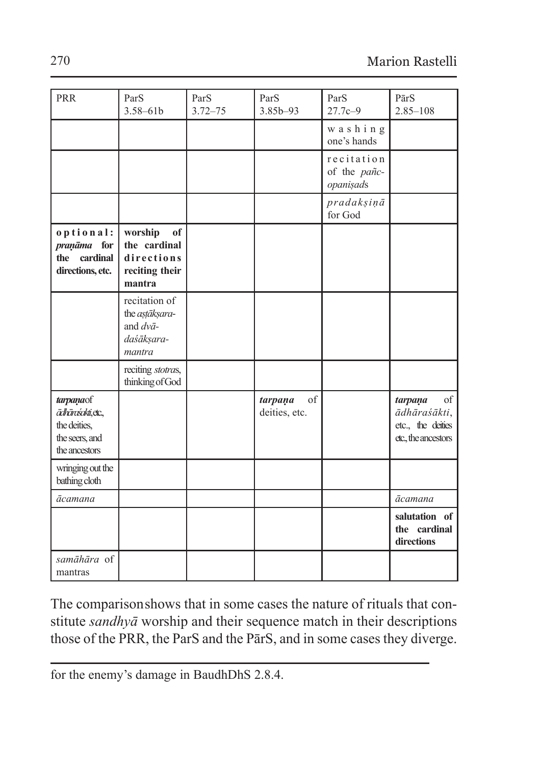| PRR                                                                                | ParS<br>$3.58 - 61b$                                                         | ParS<br>$3.72 - 75$ | ParS<br>$3.85b - 93$           | ParS<br>$27.7c - 9$                     | PārS<br>$2.85 - 108$                                                                 |
|------------------------------------------------------------------------------------|------------------------------------------------------------------------------|---------------------|--------------------------------|-----------------------------------------|--------------------------------------------------------------------------------------|
|                                                                                    |                                                                              |                     |                                | washing<br>one's hands                  |                                                                                      |
|                                                                                    |                                                                              |                     |                                | recitation<br>of the pañc-<br>opanişads |                                                                                      |
|                                                                                    |                                                                              |                     |                                | pradakşinā<br>for God                   |                                                                                      |
| optional:<br>pranāma for<br>the cardinal<br>directions, etc.                       | worship<br>of<br>the cardinal<br>directions<br>reciting their<br>mantra      |                     |                                |                                         |                                                                                      |
|                                                                                    | recitation of<br>the astāksara-<br>and $dv\bar{a}$ -<br>daśāksara-<br>mantra |                     |                                |                                         |                                                                                      |
|                                                                                    | reciting stotras,<br>thinking of God                                         |                     |                                |                                         |                                                                                      |
| tarpanaof<br>ādhāraśakti, etc.,<br>the deities.<br>the seers, and<br>the ancestors |                                                                              |                     | of<br>tarpaņa<br>deities, etc. |                                         | <sub>of</sub><br>tarpaņa<br>ādhāraśākti,<br>etc., the deities<br>etc., the ancestors |
| wringing out the<br>bathing cloth                                                  |                                                                              |                     |                                |                                         |                                                                                      |
| ācamana                                                                            |                                                                              |                     |                                |                                         | ācamana                                                                              |
|                                                                                    |                                                                              |                     |                                |                                         | salutation of<br>the cardinal<br>directions                                          |
| samāhāra of<br>mantras                                                             |                                                                              |                     |                                |                                         |                                                                                      |

The comparisonshows that in some cases the nature of rituals that constitute *sandhyā* worship and their sequence match in their descriptions those of the PRR, the ParS and the PārS, and in some cases they diverge.

for the enemy's damage in BaudhDhS 2.8.4.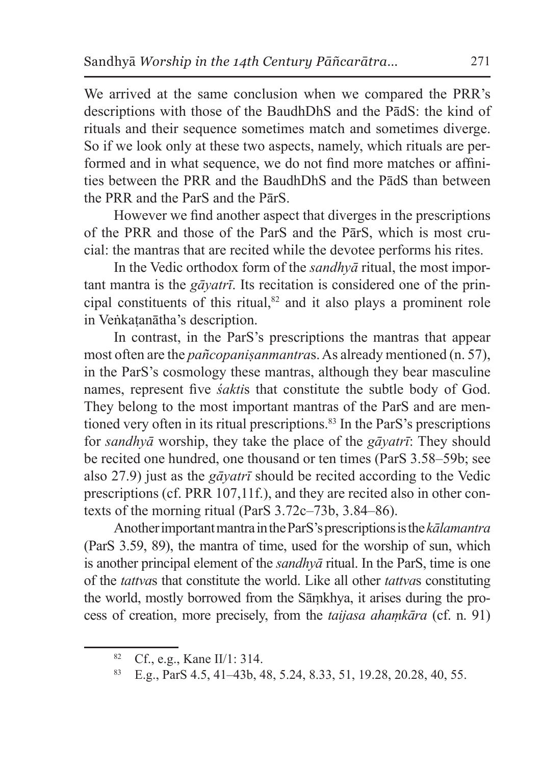We arrived at the same conclusion when we compared the PRR's descriptions with those of the BaudhDhS and the PādS: the kind of rituals and their sequence sometimes match and sometimes diverge. So if we look only at these two aspects, namely, which rituals are performed and in what sequence, we do not find more matches or affinities between the PRR and the BaudhDhS and the PādS than between the PRR and the ParS and the PārS.

However we find another aspect that diverges in the prescriptions of the PRR and those of the ParS and the PārS, which is most crucial: the mantras that are recited while the devotee performs his rites.

In the Vedic orthodox form of the *sandhyā* ritual, the most important mantra is the *gāyatrī*. Its recitation is considered one of the principal constituents of this ritual, $82$  and it also plays a prominent role in Veṅkaṭanātha's description.

In contrast, in the ParS's prescriptions the mantras that appear most often are the *pañcopanisanmantras*. As already mentioned (n. 57), in the ParS's cosmology these mantras, although they bear masculine names, represent five *śakti*s that constitute the subtle body of God. They belong to the most important mantras of the ParS and are mentioned very often in its ritual prescriptions.<sup>83</sup> In the ParS's prescriptions for *sandhyā* worship, they take the place of the *gāyatrī*: They should be recited one hundred, one thousand or ten times (ParS 3.58–59b; see also 27.9) just as the *gāyatrī* should be recited according to the Vedic prescriptions (cf. PRR 107,11f.), and they are recited also in other contexts of the morning ritual (ParS 3.72c–73b, 3.84–86).

Another important mantra intheParS's prescriptions isthe*kālamantra* (ParS 3.59, 89), the mantra of time, used for the worship of sun, which is another principal element of the *sandhyā* ritual. In the ParS, time is one of the *tattva*s that constitute the world. Like all other *tattva*s constituting the world, mostly borrowed from the Sāṃkhya, it arises during the process of creation, more precisely, from the *taijasa ahaṃkāra* (cf. n. 91)

<sup>82</sup> Cf., e.g., Kane II/1: 314.

<sup>83</sup> E.g., ParS 4.5, 41–43b, 48, 5.24, 8.33, 51, 19.28, 20.28, 40, 55.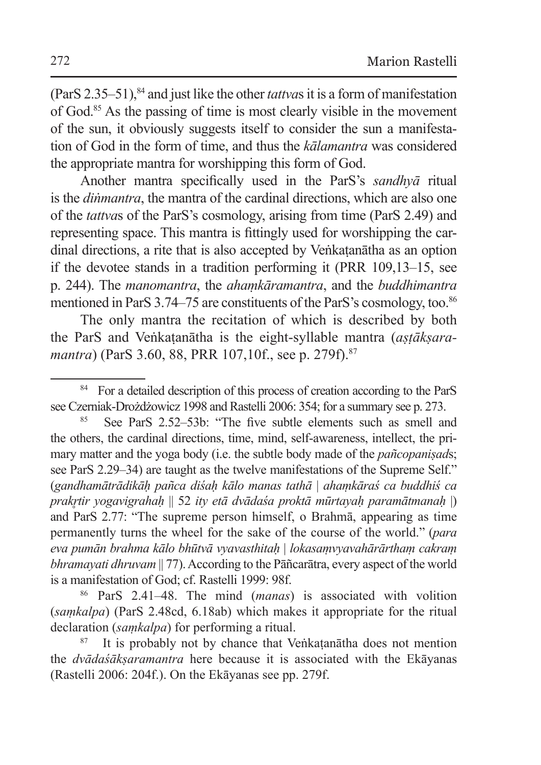(ParS 2.35–51),84 and just like the other *tattva*s it is a form of manifestation of God.85 As the passing of time is most clearly visible in the movement of the sun, it obviously suggests itself to consider the sun a manifestation of God in the form of time, and thus the *kālamantra* was considered the appropriate mantra for worshipping this form of God.

Another mantra specifically used in the ParS's *sandhyā* ritual is the *diṅmantra*, the mantra of the cardinal directions, which are also one of the *tattva*s of the ParS's cosmology, arising from time (ParS 2.49) and representing space. This mantra is fittingly used for worshipping the cardinal directions, a rite that is also accepted by Veṅkaṭanātha as an option if the devotee stands in a tradition performing it (PRR 109,13–15, see p. 244). The *manomantra*, the *ahaṃkāramantra*, and the *buddhimantra* mentioned in ParS 3.74–75 are constituents of the ParS's cosmology, too.<sup>86</sup>

The only mantra the recitation of which is described by both the ParS and Veṅkaṭanātha is the eight-syllable mantra (*aṣṭākṣaramantra*) (ParS 3.60, 88, PRR 107, 10f., see p. 279f).<sup>87</sup>

See ParS 2.52–53b: "The five subtle elements such as smell and the others, the cardinal directions, time, mind, self-awareness, intellect, the primary matter and the yoga body (i.e. the subtle body made of the *pañcopaniṣad*s; see ParS 2.29–34) are taught as the twelve manifestations of the Supreme Self." (*gandhamātrādikāḥ pañca diśaḥ kālo manas tathā* | *ahaṃkāraś ca buddhiś ca prakr̥tir yogavigrahaḥ* || 52 *ity etā dvādaśa proktā mūrtayaḥ paramātmanaḥ* |) and ParS 2.77: "The supreme person himself, o Brahmā, appearing as time permanently turns the wheel for the sake of the course of the world." (*para eva pumān brahma kālo bhūtvā vyavasthitaḥ* | *lokasaṃvyavahārārthaṃ cakraṃ bhramayati dhruvam* || 77). According to the Pāñcarātra, every aspect of the world is a manifestation of God; cf. Rastelli 1999: 98f.

<sup>86</sup> ParS 2.41–48. The mind (*manas*) is associated with volition (*saṃkalpa*) (ParS 2.48cd, 6.18ab) which makes it appropriate for the ritual declaration (*saṃkalpa*) for performing a ritual.

It is probably not by chance that Veñkatanātha does not mention the *dvādaśākṣaramantra* here because it is associated with the Ekāyanas (Rastelli 2006: 204f.). On the Ekāyanas see pp. 279f.

<sup>&</sup>lt;sup>84</sup> For a detailed description of this process of creation according to the ParS see Czerniak-Drożdżowicz 1998 and Rastelli 2006: 354; for a summary see p. 273.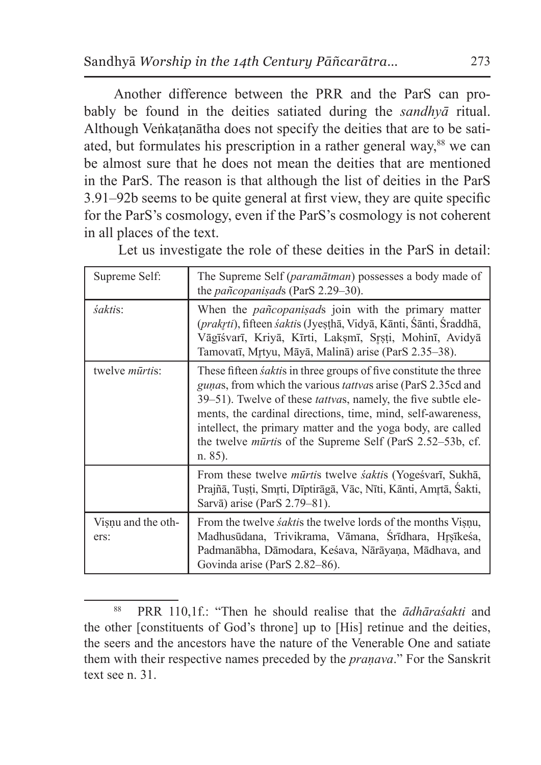Another difference between the PRR and the ParS can probably be found in the deities satiated during the *sandhyā* ritual. Although Veṅkaṭanātha does not specify the deities that are to be satiated, but formulates his prescription in a rather general way,<sup>88</sup> we can be almost sure that he does not mean the deities that are mentioned in the ParS. The reason is that although the list of deities in the ParS 3.91–92b seems to be quite general at first view, they are quite specific for the ParS's cosmology, even if the ParS's cosmology is not coherent in all places of the text.

| Supreme Self:              | The Supreme Self ( <i>paramātman</i> ) possesses a body made of<br>the pañcopanisads (ParS 2.29-30).                                                                                                                                                                                                                                                                                                                                          |
|----------------------------|-----------------------------------------------------------------------------------------------------------------------------------------------------------------------------------------------------------------------------------------------------------------------------------------------------------------------------------------------------------------------------------------------------------------------------------------------|
| śaktis:                    | When the <i>pañcopanisads</i> join with the primary matter<br>(prakrti), fifteen śaktis (Jyesthā, Vidyā, Kānti, Šānti, Šraddhā,<br>Vāgīśvarī, Kriyā, Kīrti, Laksmī, Srsti, Mohinī, Avidyā<br>Tamovatī, Mrtyu, Māyā, Malinā) arise (ParS 2.35–38).                                                                                                                                                                                             |
| twelve <i>mūrtis</i> :     | These fifteen <i>saktis</i> in three groups of five constitute the three<br><i>gunas</i> , from which the various <i>tattvas</i> arise (ParS 2.35cd and<br>39–51). Twelve of these <i>tattvas</i> , namely, the five subtle ele-<br>ments, the cardinal directions, time, mind, self-awareness,<br>intellect, the primary matter and the yoga body, are called<br>the twelve <i>mūrtis</i> of the Supreme Self (ParS 2.52–53b, cf.<br>n. 85). |
|                            | From these twelve <i>mūrtis</i> twelve <i>saktis</i> (Yogesvarī, Sukhā,<br>Prajñā, Tusti, Smrti, Dīptirāgā, Vāc, Nīti, Kānti, Amrtā, Sakti,<br>Sarvā) arise (ParS 2.79–81).                                                                                                                                                                                                                                                                   |
| Visnu and the oth-<br>ers: | From the twelve <i>saktis</i> the twelve lords of the months Visnu,<br>Madhusūdana, Trivikrama, Vāmana, Srīdhara, Hrsīkesa,<br>Padmanābha, Dāmodara, Keśava, Nārāyaṇa, Mādhava, and<br>Govinda arise (ParS 2.82–86).                                                                                                                                                                                                                          |

Let us investigate the role of these deities in the ParS in detail:

<sup>88</sup> PRR 110,1f.: "Then he should realise that the *ādhāraśakti* and the other [constituents of God's throne] up to [His] retinue and the deities, the seers and the ancestors have the nature of the Venerable One and satiate them with their respective names preceded by the *praṇava*." For the Sanskrit text see n. 31.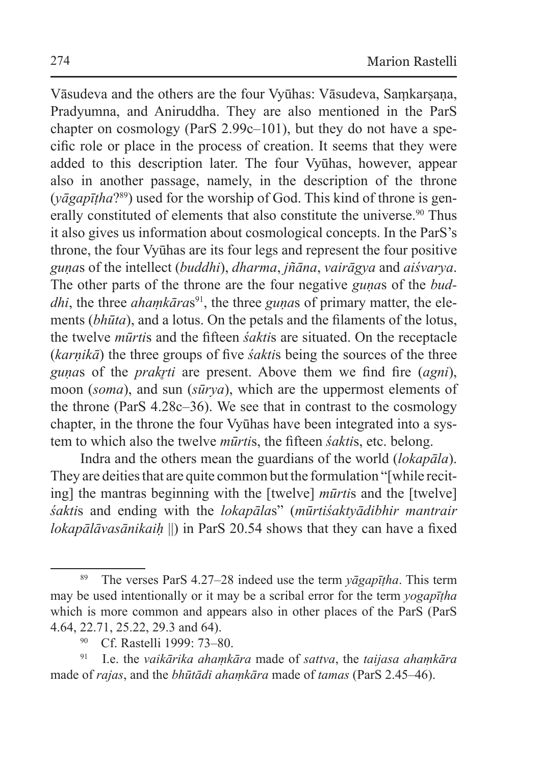Vāsudeva and the others are the four Vyūhas: Vāsudeva, Samkarsana, Pradyumna, and Aniruddha. They are also mentioned in the ParS chapter on cosmology (ParS 2.99c–101), but they do not have a specific role or place in the process of creation. It seems that they were added to this description later. The four Vyūhas, however, appear also in another passage, namely, in the description of the throne (*yāgapīṭha*?89) used for the worship of God. This kind of throne is generally constituted of elements that also constitute the universe.<sup>90</sup> Thus it also gives us information about cosmological concepts. In the ParS's throne, the four Vyūhas are its four legs and represent the four positive *guṇa*s of the intellect (*buddhi*), *dharma*, *jñāna*, *vairāgya* and *aiśvarya*. The other parts of the throne are the four negative *guṇa*s of the *buddhi*, the three *ahamkāras*<sup>91</sup>, the three *gunas* of primary matter, the elements (*bhūta*), and a lotus. On the petals and the filaments of the lotus, the twelve *mūrti*s and the fifteen *śakti*s are situated. On the receptacle (*karṇikā*) the three groups of five *śakti*s being the sources of the three *guṇa*s of the *prakr̥ti* are present. Above them we find fire (*agni*), moon (*soma*), and sun (*sūrya*), which are the uppermost elements of the throne (ParS 4.28c–36). We see that in contrast to the cosmology chapter, in the throne the four Vyūhas have been integrated into a system to which also the twelve *mūrti*s, the fifteen *śakti*s, etc. belong.

Indra and the others mean the guardians of the world (*lokapāla*). They are deities that are quite common but the formulation "[while reciting] the mantras beginning with the [twelve] *mūrti*s and the [twelve] *śakti*s and ending with the *lokapāla*s" (*mūrtiśaktyādibhir mantrair lokapālāvasānikaiḥ* ||) in ParS 20.54 shows that they can have a fixed

<sup>89</sup> The verses ParS 4.27–28 indeed use the term *yāgapīṭha*. This term may be used intentionally or it may be a scribal error for the term *yogapīṭha* which is more common and appears also in other places of the ParS (ParS 4.64, 22.71, 25.22, 29.3 and 64).

<sup>90</sup> Cf. Rastelli 1999: 73–80.

<sup>91</sup> I.e. the *vaikārika ahaṃkāra* made of *sattva*, the *taijasa ahaṃkāra* made of *rajas*, and the *bhūtādi ahaṃkāra* made of *tamas* (ParS 2.45–46).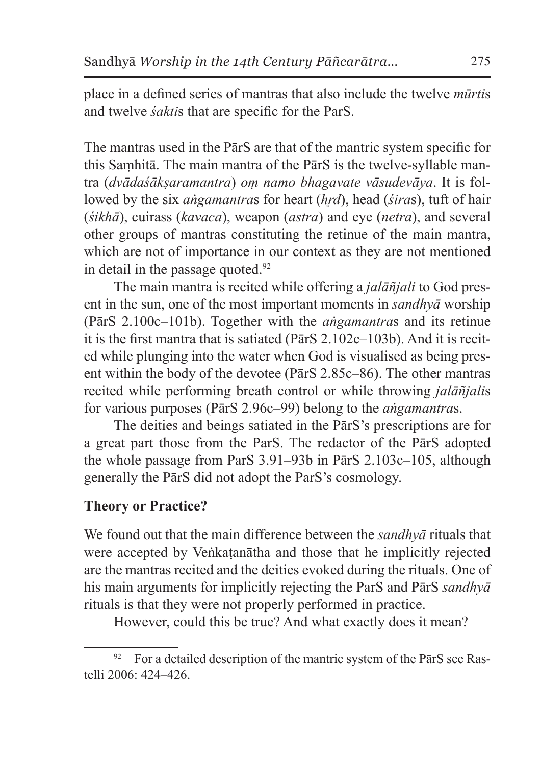place in a defined series of mantras that also include the twelve *mūrti*s and twelve *śakti*s that are specific for the ParS.

The mantras used in the PārS are that of the mantric system specific for this Saṃhitā. The main mantra of the PārS is the twelve-syllable mantra (*dvādaśākṣaramantra*) *oṃ namo bhagavate vāsudevāya*. It is followed by the six *angamantras* for heart (*hrd*), head (*śiras*), tuft of hair (*śikhā*), cuirass (*kavaca*), weapon (*astra*) and eye (*netra*), and several other groups of mantras constituting the retinue of the main mantra, which are not of importance in our context as they are not mentioned in detail in the passage quoted.<sup>92</sup>

The main mantra is recited while offering a *jalāñjali* to God present in the sun, one of the most important moments in *sandhyā* worship (PārS 2.100c–101b). Together with the *aṅgamantra*s and its retinue it is the first mantra that is satiated (PārS 2.102c–103b). And it is recited while plunging into the water when God is visualised as being present within the body of the devotee (PārS 2.85c–86). The other mantras recited while performing breath control or while throwing *jalāñjali*s for various purposes (PārS 2.96c–99) belong to the *aṅgamantra*s.

The deities and beings satiated in the PārS's prescriptions are for a great part those from the ParS. The redactor of the PārS adopted the whole passage from ParS 3.91–93b in PārS 2.103c–105, although generally the PārS did not adopt the ParS's cosmology.

## **Theory or Practice?**

We found out that the main difference between the *sandhyā* rituals that were accepted by Veṅkaṭanātha and those that he implicitly rejected are the mantras recited and the deities evoked during the rituals. One of his main arguments for implicitly rejecting the ParS and PārS *sandhyā*  rituals is that they were not properly performed in practice.

However, could this be true? And what exactly does it mean?

 $92$  For a detailed description of the mantric system of the ParS see Rastelli 2006: 424–426.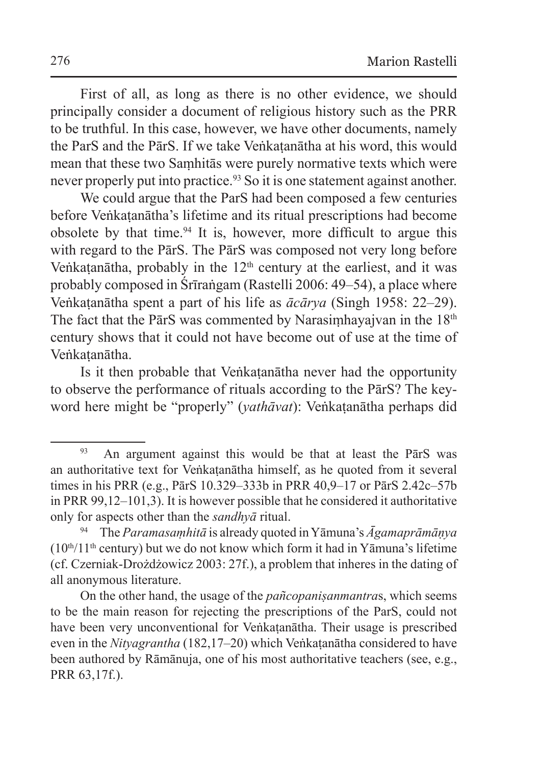First of all, as long as there is no other evidence, we should principally consider a document of religious history such as the PRR to be truthful. In this case, however, we have other documents, namely the ParS and the PārS. If we take Veṅkaṭanātha at his word, this would mean that these two Saṃhitās were purely normative texts which were never properly put into practice.<sup>93</sup> So it is one statement against another.

We could argue that the ParS had been composed a few centuries before Veṅkaṭanātha's lifetime and its ritual prescriptions had become obsolete by that time.94 It is, however, more difficult to argue this with regard to the PārS. The PārS was composed not very long before Veṅkaṭanātha, probably in the 12<sup>th</sup> century at the earliest, and it was probably composed in Śrīraṅgam (Rastelli 2006: 49–54), a place where Veṅkaṭanātha spent a part of his life as *ācārya* (Singh 1958: 22–29). The fact that the PārS was commented by Narasimhayajvan in the 18<sup>th</sup> century shows that it could not have become out of use at the time of Veṅkaṭanātha.

Is it then probable that Veṅkaṭanātha never had the opportunity to observe the performance of rituals according to the PārS? The keyword here might be "properly" (*yathāvat*): Veṅkaṭanātha perhaps did

<sup>&</sup>lt;sup>93</sup> An argument against this would be that at least the PārS was an authoritative text for Veṅkaṭanātha himself, as he quoted from it several times in his PRR (e.g., PārS 10.329–333b in PRR 40,9–17 or PārS 2.42c–57b in PRR 99,12–101,3). It is however possible that he considered it authoritative only for aspects other than the *sandhyā* ritual.

<sup>94</sup> The *Paramasaṃhitā* is already quoted inYāmuna's *Āgamaprāmāṇya*   $(10<sup>th</sup>/11<sup>th</sup>$  century) but we do not know which form it had in Yāmuna's lifetime (cf. Czerniak-Drożdżowicz 2003: 27f.), a problem that inheres in the dating of all anonymous literature.

On the other hand, the usage of the *pañcopaniṣanmantra*s, which seems to be the main reason for rejecting the prescriptions of the ParS, could not have been very unconventional for Veṅkaṭanātha. Their usage is prescribed even in the *Nityagrantha* (182,17–20) which Veṅkaṭanātha considered to have been authored by Rāmānuja, one of his most authoritative teachers (see, e.g., PRR 63,17f.).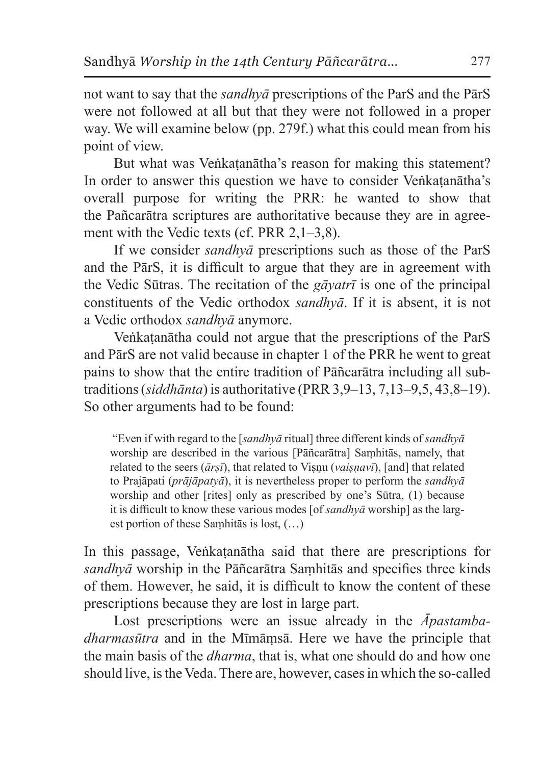not want to say that the *sandhyā* prescriptions of the ParS and the PārS were not followed at all but that they were not followed in a proper way. We will examine below (pp. 279f.) what this could mean from his point of view.

But what was Veṅkatanātha's reason for making this statement? In order to answer this question we have to consider Veṅkaṭanātha's overall purpose for writing the PRR: he wanted to show that the Pañcarātra scriptures are authoritative because they are in agreement with the Vedic texts (cf. PRR 2,1–3,8).

If we consider *sandhyā* prescriptions such as those of the ParS and the PārS, it is difficult to argue that they are in agreement with the Vedic Sūtras. The recitation of the *gāyatrī* is one of the principal constituents of the Vedic orthodox *sandhyā*. If it is absent, it is not a Vedic orthodox *sandhyā* anymore.

Veṅkaṭanātha could not argue that the prescriptions of the ParS and PārS are not valid because in chapter 1 of the PRR he went to great pains to show that the entire tradition of Pāñcarātra including all subtraditions (*siddhānta*) is authoritative (PRR 3,9–13, 7,13–9,5, 43,8–19). So other arguments had to be found:

 "Even if with regard to the [*sandhyā* ritual] three different kinds of *sandhyā* worship are described in the various [Pāñcarātra] Saṃhitās, namely, that related to the seers (*ārṣī*), that related to Viṣṇu (*vaiṣṇavī*), [and] that related to Prajāpati (*prājāpatyā*), it is nevertheless proper to perform the *sandhyā* worship and other [rites] only as prescribed by one's Sūtra, (1) because it is difficult to know these various modes [of *sandhyā* worship] as the largest portion of these Saṃhitās is lost, (…)

In this passage, Veṅkaṭanātha said that there are prescriptions for *sandhyā* worship in the Pāñcarātra Saṃhitās and specifies three kinds of them. However, he said, it is difficult to know the content of these prescriptions because they are lost in large part.

Lost prescriptions were an issue already in the *Āpastambadharmasūtra* and in the Mīmāṃsā. Here we have the principle that the main basis of the *dharma*, that is, what one should do and how one should live, is the Veda. There are, however, cases in which the so-called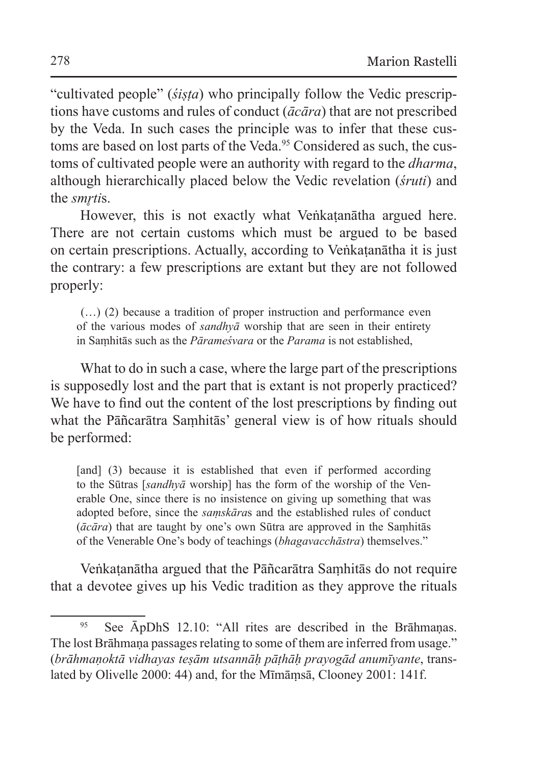"cultivated people" (*śiṣṭa*) who principally follow the Vedic prescriptions have customs and rules of conduct (*ācāra*) that are not prescribed by the Veda. In such cases the principle was to infer that these customs are based on lost parts of the Veda.<sup>95</sup> Considered as such, the customs of cultivated people were an authority with regard to the *dharma*, although hierarchically placed below the Vedic revelation (*śruti*) and the *smrtis*.

However, this is not exactly what Veṅkaṭanātha argued here. There are not certain customs which must be argued to be based on certain prescriptions. Actually, according to Veṅkaṭanātha it is just the contrary: a few prescriptions are extant but they are not followed properly:

 (…) (2) because a tradition of proper instruction and performance even of the various modes of *sandhyā* worship that are seen in their entirety in Saṃhitās such as the *Pārameśvara* or the *Parama* is not established,

What to do in such a case, where the large part of the prescriptions is supposedly lost and the part that is extant is not properly practiced? We have to find out the content of the lost prescriptions by finding out what the Pāñcarātra Saṃhitās' general view is of how rituals should be performed:

[and] (3) because it is established that even if performed according to the Sūtras [*sandhyā* worship] has the form of the worship of the Venerable One, since there is no insistence on giving up something that was adopted before, since the *saṃskāra*s and the established rules of conduct (*ācāra*) that are taught by one's own Sūtra are approved in the Saṃhitās of the Venerable One's body of teachings (*bhagavacchāstra*) themselves."

Veṅkaṭanātha argued that the Pāñcarātra Saṃhitās do not require that a devotee gives up his Vedic tradition as they approve the rituals

<sup>95</sup> See ĀpDhS 12.10: "All rites are described in the Brāhmanas. The lost Brāhmana passages relating to some of them are inferred from usage." (*brāhmaṇoktā vidhayas teṣām utsannāḥ pāṭhāḥ prayogād anumīyante*, translated by Olivelle 2000: 44) and, for the Mīmāṃsā, Clooney 2001: 141f.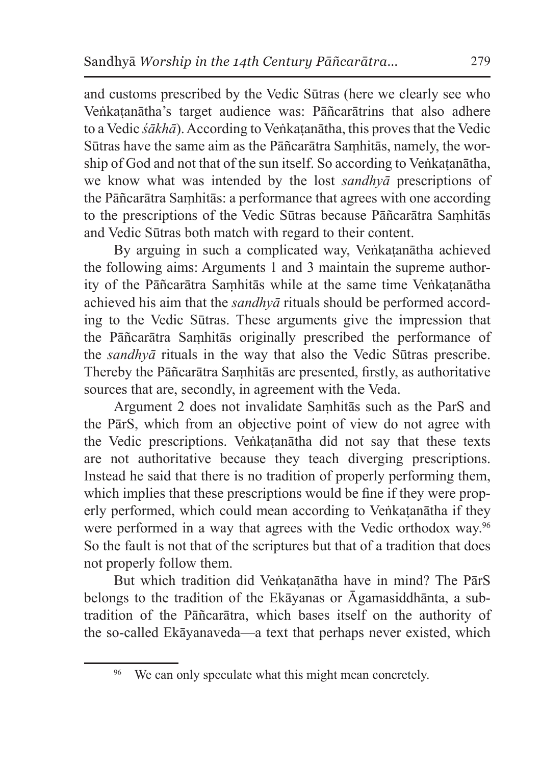and customs prescribed by the Vedic Sūtras (here we clearly see who Veṅkaṭanātha's target audience was: Pāñcarātrins that also adhere to a Vedic *śākhā*). According to Veṅkaṭanātha, this proves that the Vedic Sūtras have the same aim as the Pāñcarātra Saṃhitās, namely, the worship of God and not that of the sun itself. So according to Veñkatanātha, we know what was intended by the lost *sandhyā* prescriptions of the Pāñcarātra Saṃhitās: a performance that agrees with one according to the prescriptions of the Vedic Sūtras because Pāñcarātra Saṃhitās and Vedic Sūtras both match with regard to their content.

By arguing in such a complicated way, Veṅkaṭanātha achieved the following aims: Arguments 1 and 3 maintain the supreme authority of the Pāñcarātra Saṃhitās while at the same time Veṅkaṭanātha achieved his aim that the *sandhyā* rituals should be performed according to the Vedic Sūtras. These arguments give the impression that the Pāñcarātra Saṃhitās originally prescribed the performance of the *sandhyā* rituals in the way that also the Vedic Sūtras prescribe. Thereby the Pāñcarātra Saṃhitās are presented, firstly, as authoritative sources that are, secondly, in agreement with the Veda.

Argument 2 does not invalidate Saṃhitās such as the ParS and the PārS, which from an objective point of view do not agree with the Vedic prescriptions. Veṅkaṭanātha did not say that these texts are not authoritative because they teach diverging prescriptions. Instead he said that there is no tradition of properly performing them, which implies that these prescriptions would be fine if they were properly performed, which could mean according to Veṅkaṭanātha if they were performed in a way that agrees with the Vedic orthodox way.96 So the fault is not that of the scriptures but that of a tradition that does not properly follow them.

But which tradition did Veṅkaṭanātha have in mind? The PārS belongs to the tradition of the Ekāyanas or Āgamasiddhānta, a subtradition of the Pāñcarātra, which bases itself on the authority of the so-called Ekāyanaveda—a text that perhaps never existed, which

<sup>&</sup>lt;sup>96</sup> We can only speculate what this might mean concretely.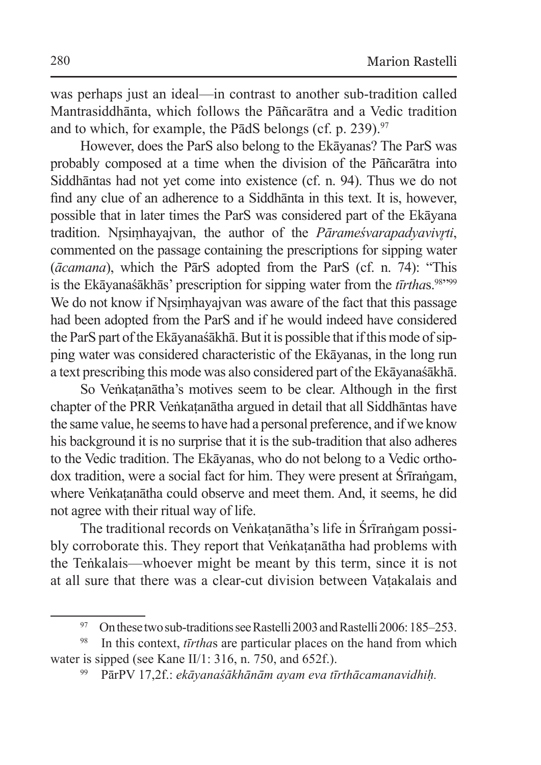was perhaps just an ideal—in contrast to another sub-tradition called Mantrasiddhānta, which follows the Pāñcarātra and a Vedic tradition and to which, for example, the P $\overline{a}$ dS belongs (cf. p. 239).<sup>97</sup>

However, does the ParS also belong to the Ekāyanas? The ParS was probably composed at a time when the division of the Pāñcarātra into Siddhāntas had not yet come into existence (cf. n. 94). Thus we do not find any clue of an adherence to a Siddhānta in this text. It is, however, possible that in later times the ParS was considered part of the Ekāyana tradition. Nrsimhayajvan, the author of the *Pārameśvarapadyavivrti*, commented on the passage containing the prescriptions for sipping water (*ācamana*), which the PārS adopted from the ParS (cf. n. 74): "This is the Ekāyanaśākhās' prescription for sipping water from the *tīrthas*.<sup>98</sup>"99 We do not know if Nrsimhayajvan was aware of the fact that this passage had been adopted from the ParS and if he would indeed have considered the ParS part of the Ekāyanaśākhā. But it is possible that if this mode of sipping water was considered characteristic of the Ekāyanas, in the long run a text prescribing this mode was also considered part of the Ekāyanaśākhā.

So Veṅkaṭanātha's motives seem to be clear. Although in the first chapter of the PRR Veṅkaṭanātha argued in detail that all Siddhāntas have the same value, he seems to have had a personal preference, and if we know his background it is no surprise that it is the sub-tradition that also adheres to the Vedic tradition. The Ekāyanas, who do not belong to a Vedic orthodox tradition, were a social fact for him. They were present at Śrīraṅgam, where Veṅkaṭanātha could observe and meet them. And, it seems, he did not agree with their ritual way of life.

The traditional records on Veṅkaṭanātha's life in Śrīraṅgam possibly corroborate this. They report that Veṅkaṭanātha had problems with the Teṅkalais—whoever might be meant by this term, since it is not at all sure that there was a clear-cut division between Vaṭakalais and

<sup>&</sup>lt;sup>97</sup> On these two sub-traditions see Rastelli 2003 and Rastelli 2006: 185–253.

<sup>98</sup> In this context, *tīrtha*s are particular places on the hand from which water is sipped (see Kane II/1: 316, n. 750, and 652f.).

<sup>99</sup> PārPV 17,2f.: *ekāyanaśākhānām ayam eva tīrthācamanavidhiḥ.*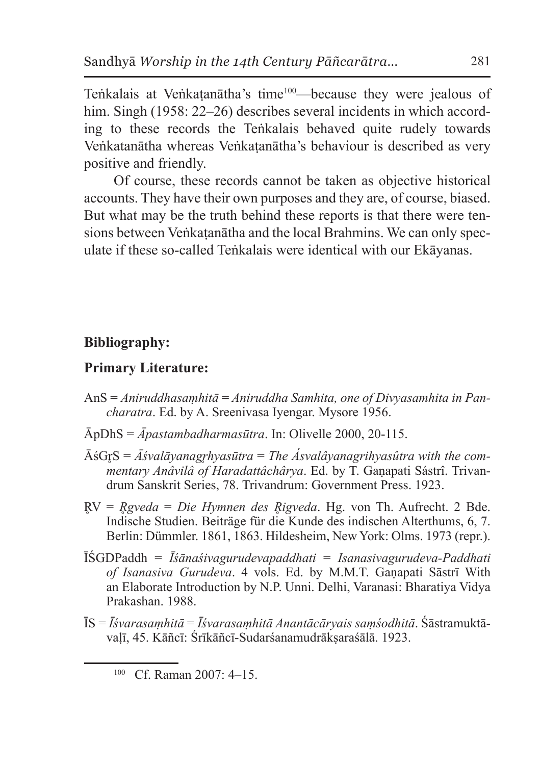Teṅkalais at Veṅkatanātha's time<sup>100</sup>—because they were jealous of him. Singh (1958: 22–26) describes several incidents in which according to these records the Teṅkalais behaved quite rudely towards Veṅkatanātha whereas Veṅkaṭanātha's behaviour is described as very positive and friendly.

Of course, these records cannot be taken as objective historical accounts. They have their own purposes and they are, of course, biased. But what may be the truth behind these reports is that there were tensions between Veṅkaṭanātha and the local Brahmins. We can only speculate if these so-called Teṅkalais were identical with our Ekāyanas.

### **Bibliography:**

### **Primary Literature:**

- AnS = *Aniruddhasaṃhitā* = *Aniruddha Samhita, one of Divyasamhita in Pancharatra*. Ed. by A. Sreenivasa Iyengar. Mysore 1956.
- ĀpDhS = *Āpastambadharmasūtra*. In: Olivelle 2000, 20-115.
- ĀśGr̥S = *Āśvalāyanagr̥hyasūtra* = *The Ásvalâyanagrihyasûtra with the commentary Anâvilâ of Haradattâchârya*. Ed. by T. Gaṇapati Sástrî. Trivandrum Sanskrit Series, 78. Trivandrum: Government Press. 1923.
- R̥V = *R̥gveda* = *Die Hymnen des R̥igveda*. Hg. von Th. Aufrecht. 2 Bde. Indische Studien. Beiträge für die Kunde des indischen Alterthums, 6, 7. Berlin: Dümmler. 1861, 1863. Hildesheim, New York: Olms. 1973 (repr.).
- ĪŚGDPaddh = *Īśānaśivagurudevapaddhati* = *Isanasivagurudeva-Paddhati of Isanasiva Gurudeva*. 4 vols. Ed. by M.M.T. Gaṇapati Sāstrī With an Elaborate Introduction by N.P. Unni. Delhi, Varanasi: Bharatiya Vidya Prakashan. 1988.
- ĪS = *Īśvarasaṃhitā* = *Īśvarasaṃhitā Anantācāryais saṃśodhitā*. Śāstramuktāvaḷī, 45. Kāñcī: Śrīkāñcī-Sudarśanamudrākṣaraśālā. 1923.

<sup>100</sup> Cf. Raman 2007: 4–15.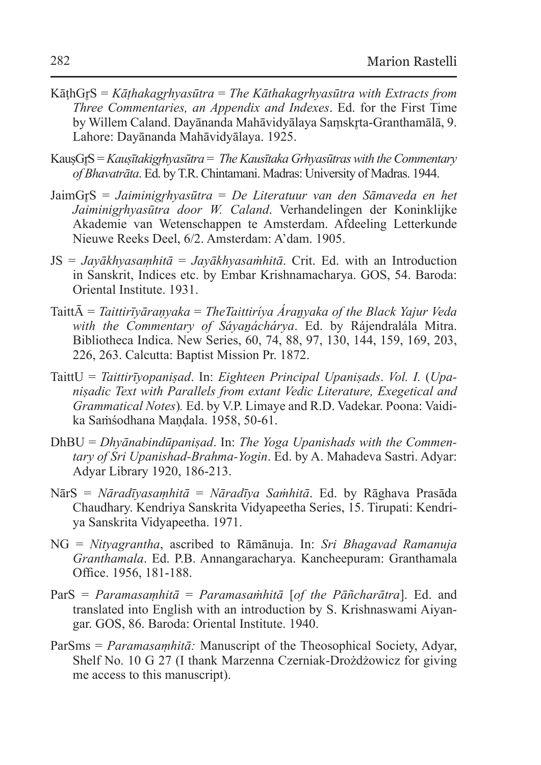- KāṭhGr̥S = *Kāṭhakagr̥hyasūtra* = *The Kāthakagrhyasūtra with Extracts from Three Commentaries, an Appendix and Indexes*. Ed. for the First Time by Willem Caland. Dayānanda Mahāvidyālaya Samskrta-Granthamālā, 9. Lahore: Dayānanda Mahāvidyālaya. 1925.
- KausGr<sup>S</sup> = *Kausītakigrhyasūtra* = *The Kausītaka Grhyasūtras with the Commentary of Bhavatrāta*. Ed. by T.R. Chintamani. Madras: University of Madras. 1944.
- JaimGr̥S = *Jaiminigr̥hyasūtra* = *De Literatuur van den Sāmaveda en het Jaiminigr̥hyasūtra door W. Caland*. Verhandelingen der Koninklijke Akademie van Wetenschappen te Amsterdam. Afdeeling Letterkunde Nieuwe Reeks Deel, 6/2. Amsterdam: A'dam. 1905.
- JS = *Jayākhyasaṃhitā* = *Jayākhyasaṁhitā*. Crit. Ed. with an Introduction in Sanskrit, Indices etc. by Embar Krishnamacharya. GOS, 54. Baroda: Oriental Institute. 1931.
- TaittĀ = *Taittirīyāraṇyaka* = *TheTaittiríya Áraṉyaka of the Black Yajur Veda with the Commentary of Sáyaṉáchárya*. Ed. by Rájendralála Mitra. Bibliotheca Indica. New Series, 60, 74, 88, 97, 130, 144, 159, 169, 203, 226, 263. Calcutta: Baptist Mission Pr. 1872.
- TaittU = *Taittirīyopaniṣad*. In: *Eighteen Principal Upaniṣads*. *Vol. I.* (*Upaniṣadic Text with Parallels from extant Vedic Literature, Exegetical and Grammatical Notes*)*.* Ed. by V.P. Limaye and R.D. Vadekar. Poona: Vaidika Saṁśodhana Maṇḍala. 1958, 50-61.
- DhBU = *Dhyānabindūpaniṣad*. In: *The Yoga Upanishads with the Commentary of Sri Upanishad-Brahma-Yogin*. Ed. by A. Mahadeva Sastri. Adyar: Adyar Library 1920, 186-213.
- NārS = *Nāradīyasaṃhitā* = *Nāradīya Saṁhitā*. Ed. by Rāghava Prasāda Chaudhary. Kendriya Sanskrita Vidyapeetha Series, 15. Tirupati: Kendriya Sanskrita Vidyapeetha. 1971.
- NG = *Nityagrantha*, ascribed to Rāmānuja. In: *Sri Bhagavad Ramanuja Granthamala*. Ed. P.B. Annangaracharya. Kancheepuram: Granthamala Office. 1956, 181-188.
- ParS = *Paramasaṃhitā* = *Paramasaṁhitā* [*of the Pāñcharātra*]. Ed. and translated into English with an introduction by S. Krishnaswami Aiyangar. GOS, 86. Baroda: Oriental Institute. 1940.
- ParSms = *Paramasaṃhitā:* Manuscript of the Theosophical Society, Adyar, Shelf No. 10 G 27 (I thank Marzenna Czerniak-Drożdżowicz for giving me access to this manuscript).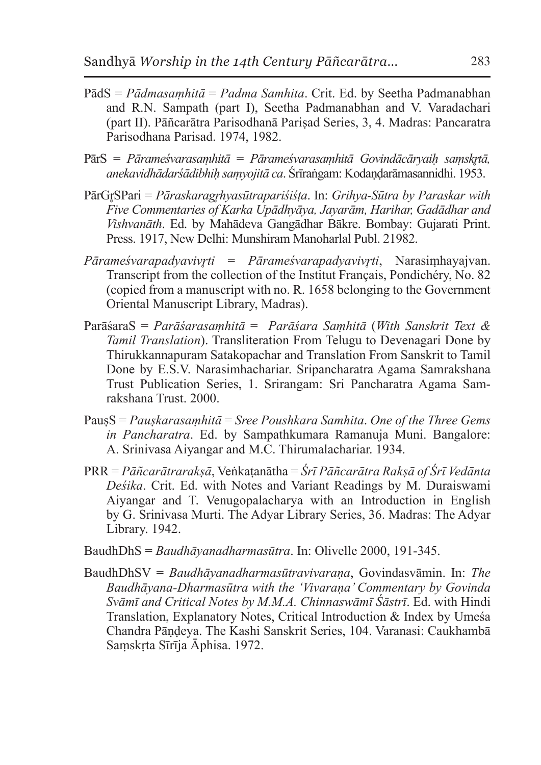- PādS = *Pādmasaṃhitā* = *Padma Samhita*. Crit. Ed. by Seetha Padmanabhan and R.N. Sampath (part I), Seetha Padmanabhan and V. Varadachari (part II). Pāñcarātra Parisodhanā Pariṣad Series, 3, 4. Madras: Pancaratra Parisodhana Parisad. 1974, 1982.
- PārS = *Pārameśvarasaṃhitā* = *Pārameśvarasaṃhitā Govindācāryaiḥ saṃskr̥tā, anekavidhādarśādibhiḥ saṃyojitā ca*. Śrīraṅgam: Kodaṇḍarāmasannidhi. 1953.
- PārGr̥SPari = *Pāraskaragr̥hyasūtrapariśiśṭa*. In: *Grihya-Sūtra by Paraskar with Five Commentaries of Karka Upādhyāya, Jayarām, Harihar, Gadādhar and Vishvanāth*. Ed. by Mahādeva Gangādhar Bākre. Bombay: Gujarati Print. Press. 1917, New Delhi: Munshiram Manoharlal Publ. 21982.
- *Pārameśvarapadyavivr̥ti* = *Pārameśvarapadyavivr̥ti*, Narasiṃhayajvan. Transcript from the collection of the Institut Français, Pondichéry, No. 82 (copied from a manuscript with no. R. 1658 belonging to the Government Oriental Manuscript Library, Madras).
- ParāśaraS = *Parāśarasaṃhitā* = *Parāśara Saṃhitā* (*With Sanskrit Text & Tamil Translation*). Transliteration From Telugu to Devenagari Done by Thirukkannapuram Satakopachar and Translation From Sanskrit to Tamil Done by E.S.V. Narasimhachariar. Sripancharatra Agama Samrakshana Trust Publication Series, 1. Srirangam: Sri Pancharatra Agama Samrakshana Trust. 2000.
- PauṣS = *Pauṣkarasaṃhitā* = *Sree Poushkara Samhita*. *One of the Three Gems in Pancharatra*. Ed. by Sampathkumara Ramanuja Muni. Bangalore: A. Srinivasa Aiyangar and M.C. Thirumalachariar. 1934.
- PRR = *Pāñcarātrarakṣā*, Veṅkaṭanātha = *Śrī Pāñcarātra Rakṣā of Śrī Vedānta Deśika*. Crit. Ed. with Notes and Variant Readings by M. Duraiswami Aiyangar and T. Venugopalacharya with an Introduction in English by G. Srinivasa Murti. The Adyar Library Series, 36. Madras: The Adyar Library. 1942.
- BaudhDhS = *Baudhāyanadharmasūtra*. In: Olivelle 2000, 191-345.
- BaudhDhSV = *Baudhāyanadharmasūtravivaraṇa*, Govindasvāmin. In: *The Baudhāyana-Dharmasūtra with the 'Vivaraṇa' Commentary by Govinda Svāmī and Critical Notes by M.M.A. Chinnaswāmī Śāstrī*. Ed. with Hindi Translation, Explanatory Notes, Critical Introduction & Index by Umeśa Chandra Pāṇḍeya. The Kashi Sanskrit Series, 104. Varanasi: Caukhambā Saṃskṛta Sīrīja Āphisa. 1972.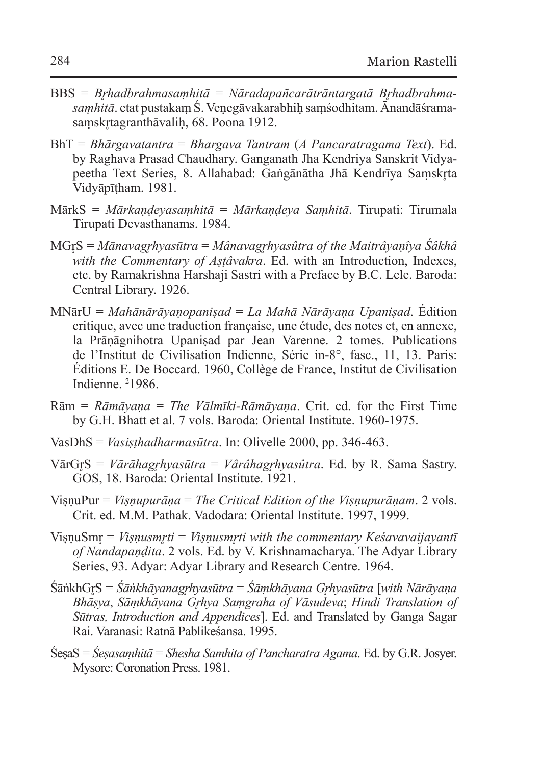- BBS = *Brhadbrahmasamhitā* = Nāradapañcarātrāntargatā Brhadbrahma*saṃhitā*. etat pustakaṃ Ś. Veṇegāvakarabhiḥ saṃśodhitam. Ānandāśramasamskrtagranthāvalih, 68. Poona 1912.
- BhT = *Bhārgavatantra* = *Bhargava Tantram* (*A Pancaratragama Text*). Ed. by Raghava Prasad Chaudhary. Ganganath Jha Kendriya Sanskrit Vidyapeetha Text Series, 8. Allahabad: Gaṅgānātha Jhā Kendrīya Samskrta Vidyāpīṭham. 1981.
- MārkS = *Mārkaṇḍeyasaṃhitā* = *Mārkaṇḍeya Saṃhitā*. Tirupati: Tirumala Tirupati Devasthanams. 1984.
- MGr̥S = *Mānavagr̥hyasūtra* = *Mânavagr̥hyasûtra of the Maitrâyaṇîya Śâkhâ with the Commentary of Aṣṭâvakra*. Ed. with an Introduction, Indexes, etc. by Ramakrishna Harshaji Sastri with a Preface by B.C. Lele. Baroda: Central Library. 1926.
- MNārU = *Mahānārāyaṇopaniṣad* = *La Mahā Nārāyaṇa Upaniṣad*. Édition critique, avec une traduction française, une étude, des notes et, en annexe, la Prāṇāgnihotra Upaniṣad par Jean Varenne. 2 tomes. Publications de l'Institut de Civilisation Indienne, Série in-8°, fasc., 11, 13. Paris: Éditions E. De Boccard. 1960, Collège de France, Institut de Civilisation Indienne. 2 1986.
- Rām = *Rāmāyaṇa* = *The Vālmīki-Rāmāyaṇa*. Crit. ed. for the First Time by G.H. Bhatt et al. 7 vols. Baroda: Oriental Institute. 1960-1975.
- VasDhS = *Vasiṣṭhadharmasūtra*. In: Olivelle 2000, pp. 346-463.
- VārGr̥S = *Vārāhagr̥hyasūtra* = *Vârâhagr̥hyasûtra*. Ed. by R. Sama Sastry. GOS, 18. Baroda: Oriental Institute. 1921.
- ViṣṇuPur = *Viṣṇupurāṇa* = *The Critical Edition of the Viṣṇupurāṇam*. 2 vols. Crit. ed. M.M. Pathak. Vadodara: Oriental Institute. 1997, 1999.
- VisnuSmr = *Visnusmrti* = *Visnusmrti with the commentary Keśavavaijayantī of Nandapaṇḍita*. 2 vols. Ed. by V. Krishnamacharya. The Adyar Library Series, 93. Adyar: Adyar Library and Research Centre. 1964.
- ŚāṅkhGr̥S = *Śāṅkhāyanagr̥hyasūtra* = *Śāṃkhāyana Gr̥hyasūtra* [*with Nārāyaṇa Bhāṣya*, *Sāṃkhāyana Gr̥hya Saṃgraha of Vāsudeva*; *Hindi Translation of Sūtras, Introduction and Appendices*]. Ed. and Translated by Ganga Sagar Rai. Varanasi: Ratnā Pablikeśansa. 1995.
- ŚeṣaS = *Śeṣasaṃhitā* = *Shesha Samhita of Pancharatra Agama*. Ed. by G.R. Josyer. Mysore: Coronation Press. 1981.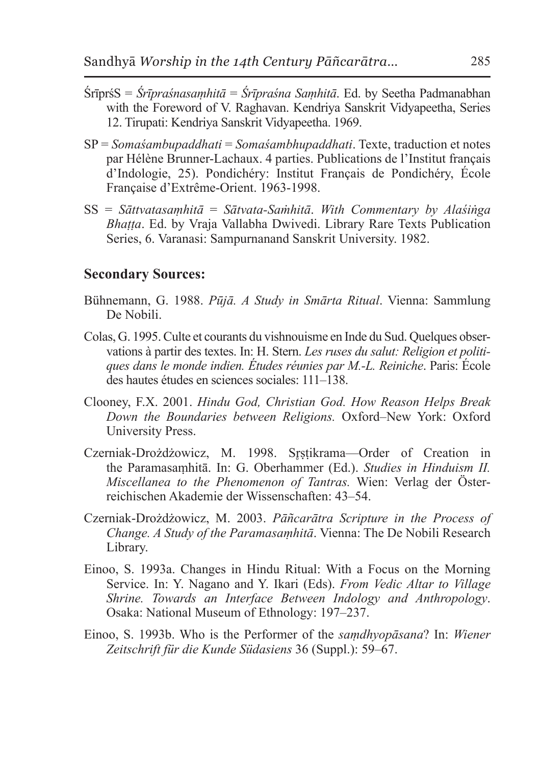- ŚrīprśS = *Śrīpraśnasaṃhitā* = *Śrīpraśna Saṃhitā*. Ed. by Seetha Padmanabhan with the Foreword of V. Raghavan. Kendriya Sanskrit Vidyapeetha, Series 12. Tirupati: Kendriya Sanskrit Vidyapeetha. 1969.
- SP = *Somaśambupaddhati* = *Somaśambhupaddhati*. Texte, traduction et notes par Hélène Brunner-Lachaux. 4 parties. Publications de l'Institut français d'Indologie, 25). Pondichéry: Institut Français de Pondichéry, École Française d'Extrême-Orient. 1963-1998.
- SS = *Sāttvatasaṃhitā* = *Sātvata-Saṁhitā*. *With Commentary by Alaśiṅga Bhaṭṭa*. Ed. by Vraja Vallabha Dwivedi. Library Rare Texts Publication Series, 6. Varanasi: Sampurnanand Sanskrit University. 1982.

#### **Secondary Sources:**

- Bühnemann, G. 1988. *Pūjā. A Study in Smārta Ritual*. Vienna: Sammlung De Nobili.
- Colas, G. 1995. Culte et courants du vishnouisme en Inde du Sud. Quelques observations à partir des textes. In: H. Stern. *Les ruses du salut: Religion et politiques dans le monde indien. Études réunies par M.-L. Reiniche*. Paris: École des hautes études en sciences sociales: 111–138.
- Clooney, F.X. 2001. *Hindu God, Christian God. How Reason Helps Break Down the Boundaries between Religions.* Oxford–New York: Oxford University Press.
- Czerniak-Drożdżowicz, M. 1998. Srstikrama-Order of Creation in the Paramasaṃhitā. In: G. Oberhammer (Ed.). *Studies in Hinduism II. Miscellanea to the Phenomenon of Tantras.* Wien: Verlag der Österreichischen Akademie der Wissenschaften: 43–54.
- Czerniak-Drożdżowicz, M. 2003. *Pāñcarātra Scripture in the Process of Change. A Study of the Paramasaṃhitā*. Vienna: The De Nobili Research Library.
- Einoo, S. 1993a. Changes in Hindu Ritual: With a Focus on the Morning Service. In: Y. Nagano and Y. Ikari (Eds). *From Vedic Altar to Village Shrine. Towards an Interface Between Indology and Anthropology*. Osaka: National Museum of Ethnology: 197–237.
- Einoo, S. 1993b. Who is the Performer of the *saṃdhyopāsana*? In: *Wiener Zeitschrift für die Kunde Südasiens* 36 (Suppl.): 59–67.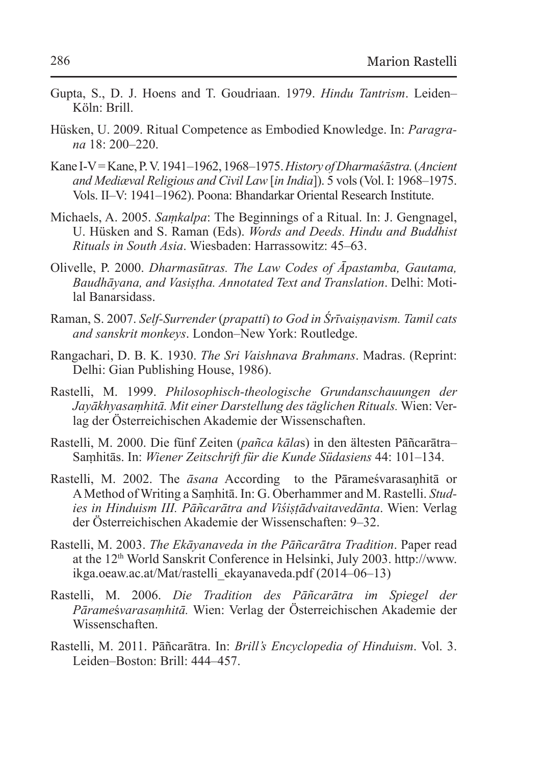- Gupta, S., D. J. Hoens and T. Goudriaan. 1979. *Hindu Tantrism*. Leiden– Köln: Brill.
- Hüsken, U. 2009. Ritual Competence as Embodied Knowledge. In: *Paragrana* 18: 200–220.
- Kane I-V = Kane, P.V. 1941–1962, 1968–1975. *History of Dharmaśāstra.* (*Ancient and Mediæval Religious and Civil Law* [*in India*]). 5 vols (Vol. I: 1968–1975. Vols. II–V: 1941–1962). Poona: Bhandarkar Oriental Research Institute.
- Michaels, A. 2005. *Saṃkalpa*: The Beginnings of a Ritual. In: J. Gengnagel, U. Hüsken and S. Raman (Eds). *Words and Deeds. Hindu and Buddhist Rituals in South Asia*. Wiesbaden: Harrassowitz: 45–63.
- Olivelle, P. 2000. *Dharmasūtras. The Law Codes of Āpastamba, Gautama, Baudhāyana, and Vasiṣṭha. Annotated Text and Translation*. Delhi: Motilal Banarsidass.
- Raman, S. 2007. *Self-Surrender* (*prapatti*) *to God in Śrīvaiṣṇavism. Tamil cats and sanskrit monkeys*. London–New York: Routledge.
- Rangachari, D. B. K. 1930. *The Sri Vaishnava Brahmans*. Madras. (Reprint: Delhi: Gian Publishing House, 1986).
- Rastelli, M. 1999. *Philosophisch-theologische Grundanschauungen der Jayākhyasaṃhitā. Mit einer Darstellung des täglichen Rituals.* Wien: Verlag der Österreichischen Akademie der Wissenschaften.
- Rastelli, M. 2000. Die fünf Zeiten (*pañca kāla*s) in den ältesten Pāñcarātra– Saṃhitās. In: *Wiener Zeitschrift für die Kunde Südasiens* 44: 101–134.
- Rastelli, M. 2002. The *āsana* According to the Pārameśvarasaņhitā or AMethod of Writing a Saṃhitā. In: G. Oberhammer and M. Rastelli. *Studies in Hinduism III. Pāñcarātra and Viśiṣṭādvaitavedānta*. Wien: Verlag der Österreichischen Akademie der Wissenschaften: 9–32.
- Rastelli, M. 2003. *The Ekāyanaveda in the Pāñcarātra Tradition*. Paper read at the 12<sup>th</sup> World Sanskrit Conference in Helsinki, July 2003. http://www. ikga.oeaw.ac.at/Mat/rastelli\_ekayanaveda.pdf (2014–06–13)
- Rastelli, M. 2006. *Die Tradition des Pāñcarātra im Spiegel der Pārame*ś*varasaṃhitā.* Wien: Verlag der Österreichischen Akademie der Wissenschaften.
- Rastelli, M. 2011. Pāñcarātra. In: *Brill's Encyclopedia of Hinduism*. Vol. 3. Leiden–Boston: Brill: 444–457.